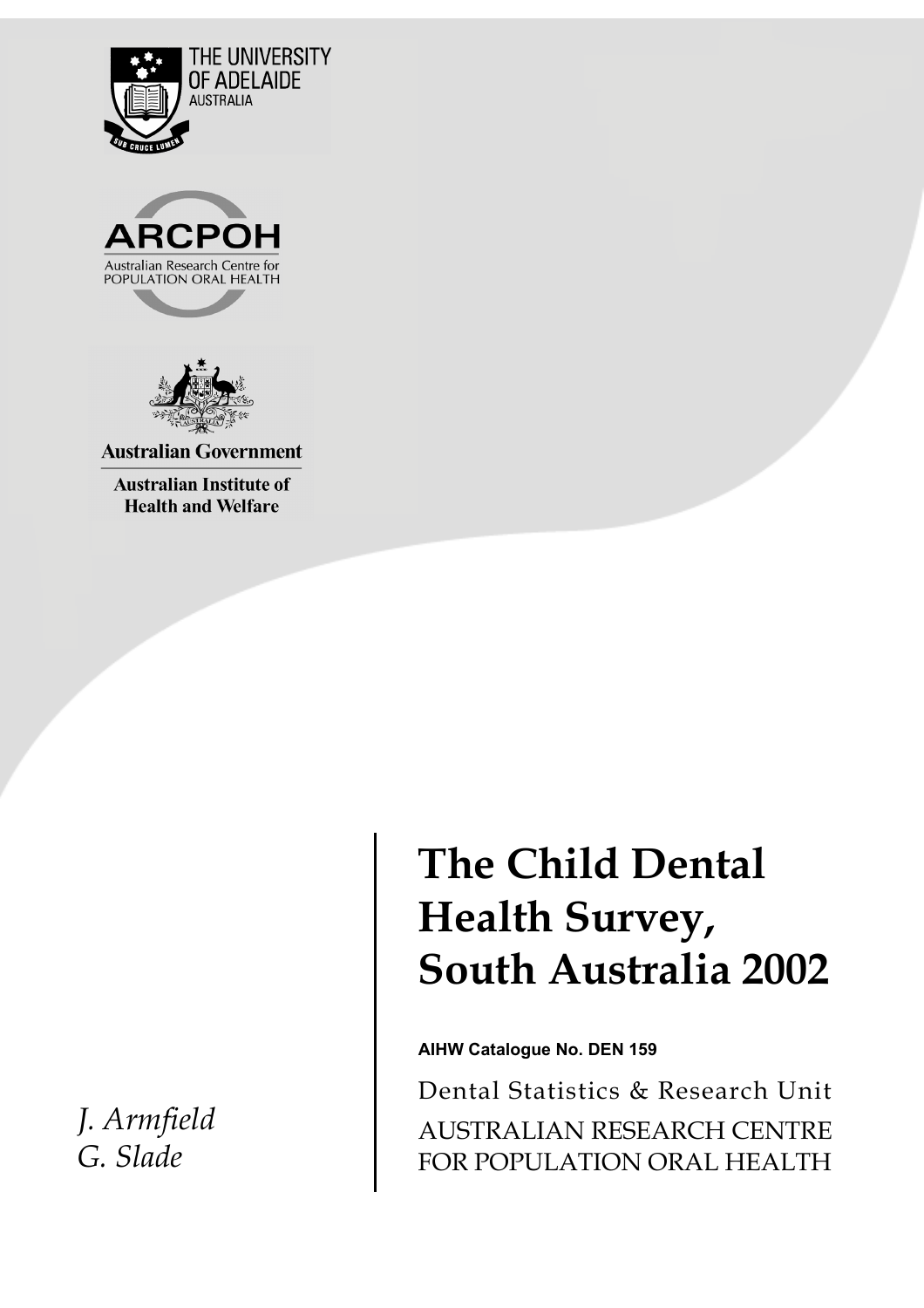





**Australian Government** 

**Australian Institute of Health and Welfare** 

 *J. Armfield G. Slade* 

# **The Child Dental Health Survey, South Australia 2002**

**AIHW Catalogue No. DEN 159**

Dental Statistics & Research Unit AUSTRALIAN RESEARCH CENTRE FOR POPULATION ORAL HEALTH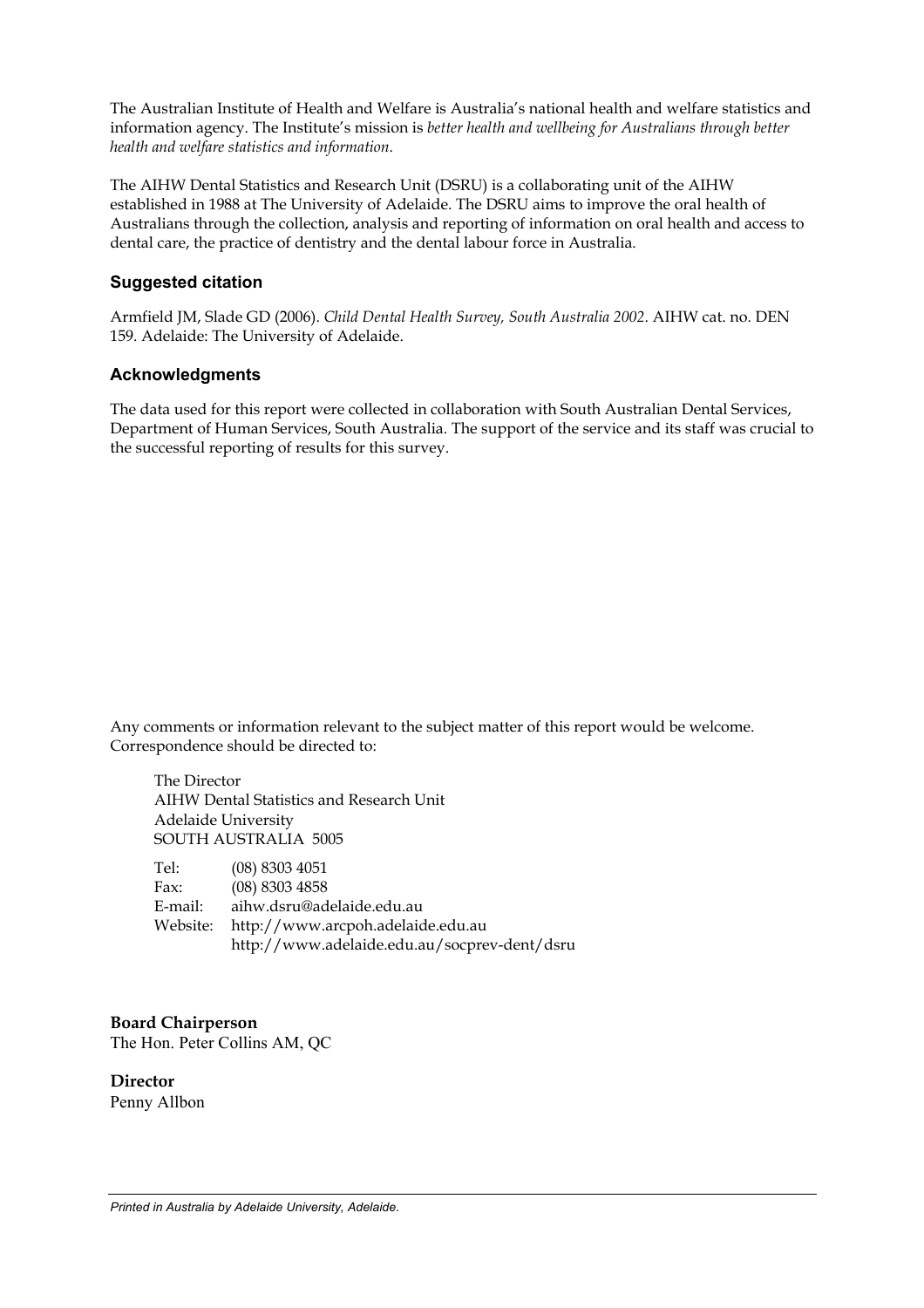The Australian Institute of Health and Welfare is Australia's national health and welfare statistics and information agency. The Institute's mission is *better health and wellbeing for Australians through better health and welfare statistics and information*.

The AIHW Dental Statistics and Research Unit (DSRU) is a collaborating unit of the AIHW established in 1988 at The University of Adelaide. The DSRU aims to improve the oral health of Australians through the collection, analysis and reporting of information on oral health and access to dental care, the practice of dentistry and the dental labour force in Australia.

#### **Suggested citation**

Armfield JM, Slade GD (2006). *Child Dental Health Survey, South Australia 2002*. AIHW cat. no. DEN 159. Adelaide: The University of Adelaide.

#### **Acknowledgments**

The data used for this report were collected in collaboration with South Australian Dental Services, Department of Human Services, South Australia. The support of the service and its staff was crucial to the successful reporting of results for this survey.

Any comments or information relevant to the subject matter of this report would be welcome. Correspondence should be directed to:

 The Director AIHW Dental Statistics and Research Unit Adelaide University SOUTH AUSTRALIA 5005

| Tel:     | $(08)$ 8303 4051                             |
|----------|----------------------------------------------|
| Fax:     | $(08)$ 8303 4858                             |
| E-mail:  | aihw.dsru@adelaide.edu.au                    |
| Website: | http://www.arcpoh.adelaide.edu.au            |
|          | http://www.adelaide.edu.au/socprev-dent/dsru |

#### **Board Chairperson**

The Hon. Peter Collins AM, QC

**Director**  Penny Allbon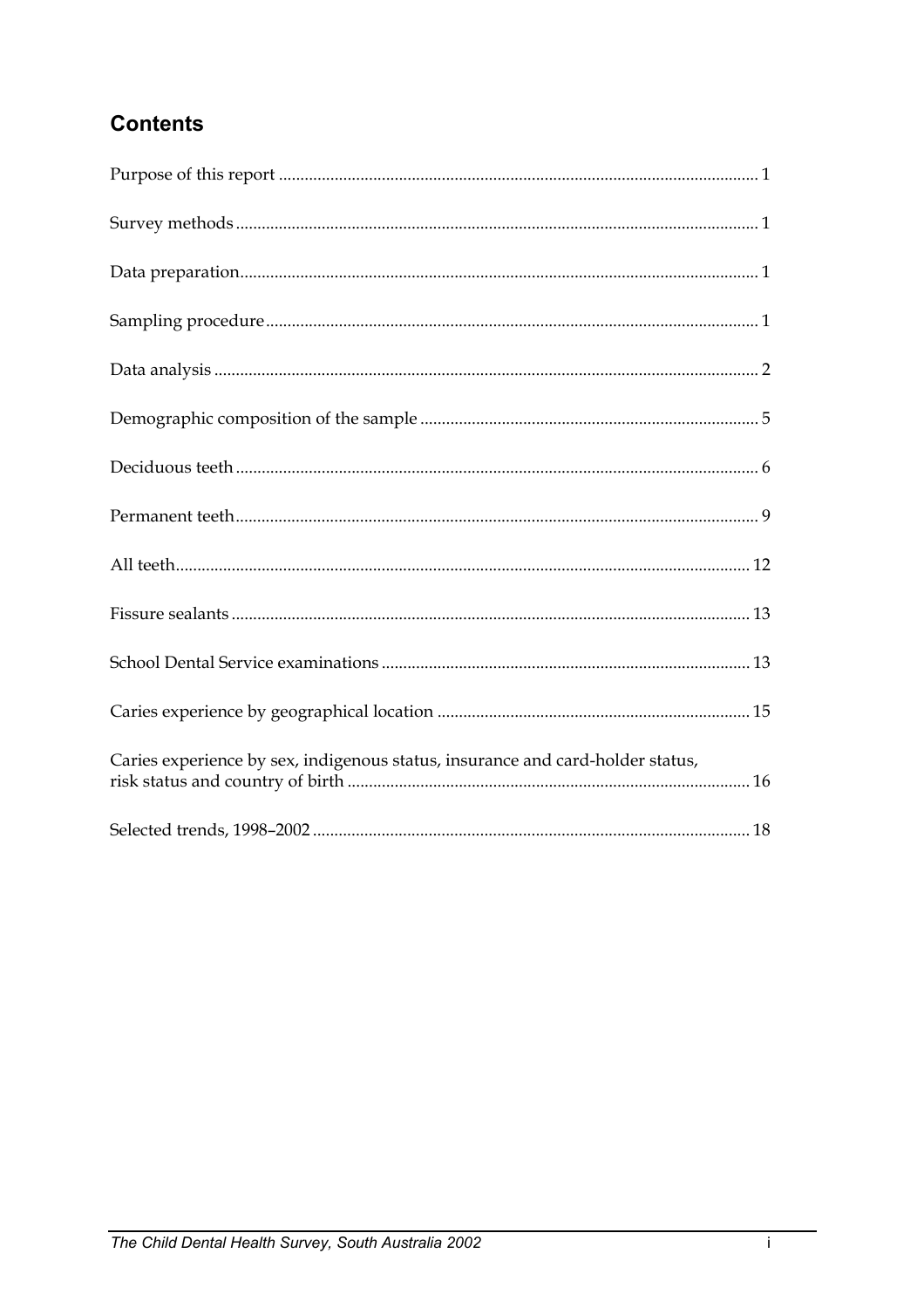# **Contents**

| Caries experience by sex, indigenous status, insurance and card-holder status, |
|--------------------------------------------------------------------------------|
|                                                                                |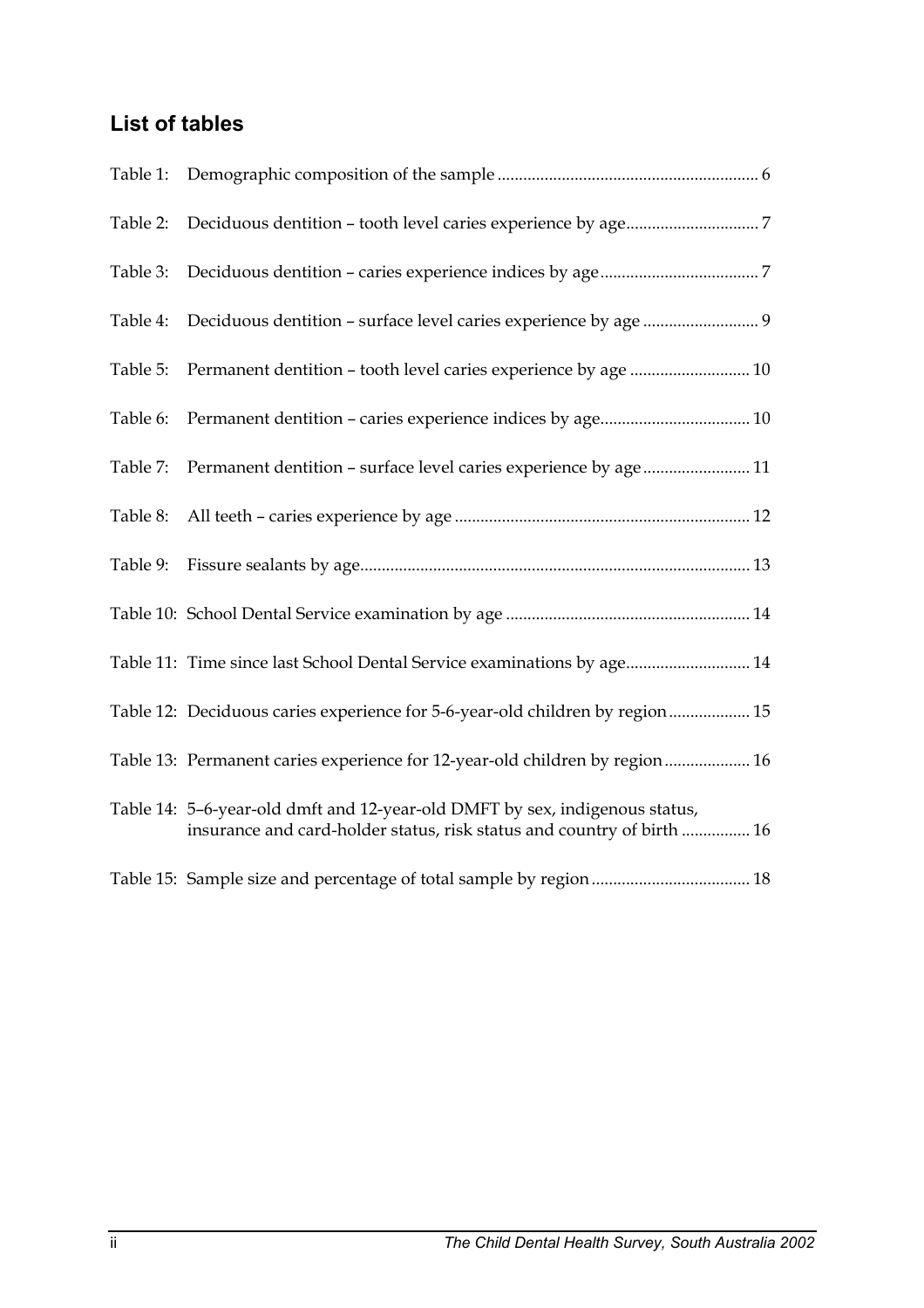# **List of tables**

| Table 2: |                                                                                                                                                       |
|----------|-------------------------------------------------------------------------------------------------------------------------------------------------------|
| Table 3: |                                                                                                                                                       |
| Table 4: |                                                                                                                                                       |
| Table 5: |                                                                                                                                                       |
| Table 6: |                                                                                                                                                       |
| Table 7: | Permanent dentition - surface level caries experience by age 11                                                                                       |
| Table 8: |                                                                                                                                                       |
| Table 9: |                                                                                                                                                       |
|          |                                                                                                                                                       |
|          | Table 11: Time since last School Dental Service examinations by age 14                                                                                |
|          | Table 12: Deciduous caries experience for 5-6-year-old children by region 15                                                                          |
|          | Table 13: Permanent caries experience for 12-year-old children by region 16                                                                           |
|          | Table 14: 5-6-year-old dmft and 12-year-old DMFT by sex, indigenous status,<br>insurance and card-holder status, risk status and country of birth  16 |
|          |                                                                                                                                                       |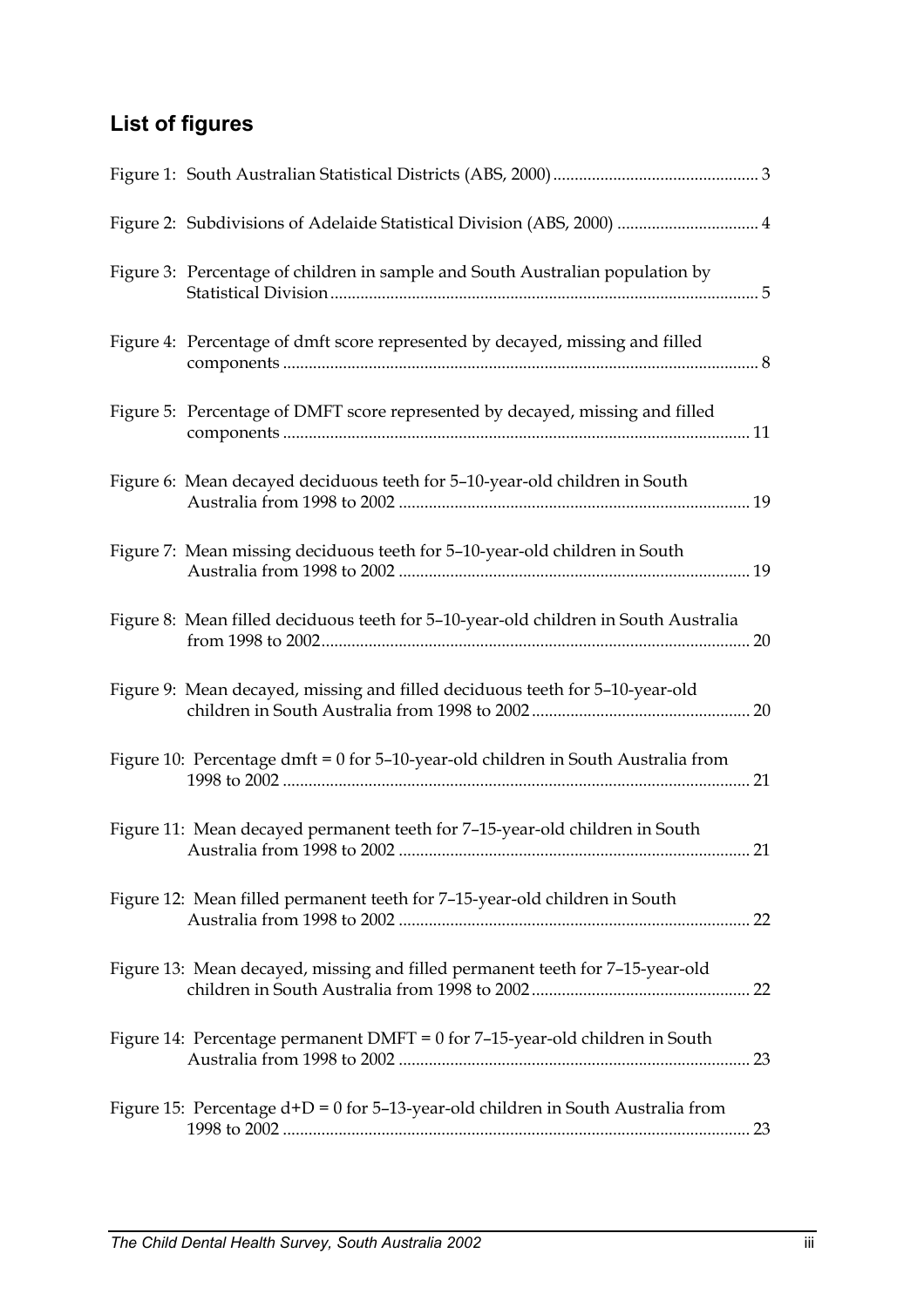# **List of figures**

| Figure 2: Subdivisions of Adelaide Statistical Division (ABS, 2000)  4              |  |
|-------------------------------------------------------------------------------------|--|
| Figure 3: Percentage of children in sample and South Australian population by       |  |
| Figure 4: Percentage of dmft score represented by decayed, missing and filled       |  |
| Figure 5: Percentage of DMFT score represented by decayed, missing and filled       |  |
| Figure 6: Mean decayed deciduous teeth for 5-10-year-old children in South          |  |
| Figure 7: Mean missing deciduous teeth for 5-10-year-old children in South          |  |
| Figure 8: Mean filled deciduous teeth for 5-10-year-old children in South Australia |  |
| Figure 9: Mean decayed, missing and filled deciduous teeth for 5-10-year-old        |  |
| Figure 10: Percentage dmft = 0 for 5-10-year-old children in South Australia from   |  |
| Figure 11: Mean decayed permanent teeth for 7-15-year-old children in South         |  |
| Figure 12: Mean filled permanent teeth for 7-15-year-old children in South          |  |
| Figure 13: Mean decayed, missing and filled permanent teeth for 7-15-year-old       |  |
| Figure 14: Percentage permanent DMFT = $0$ for 7-15-year-old children in South      |  |
| Figure 15: Percentage $d+D = 0$ for 5-13-year-old children in South Australia from  |  |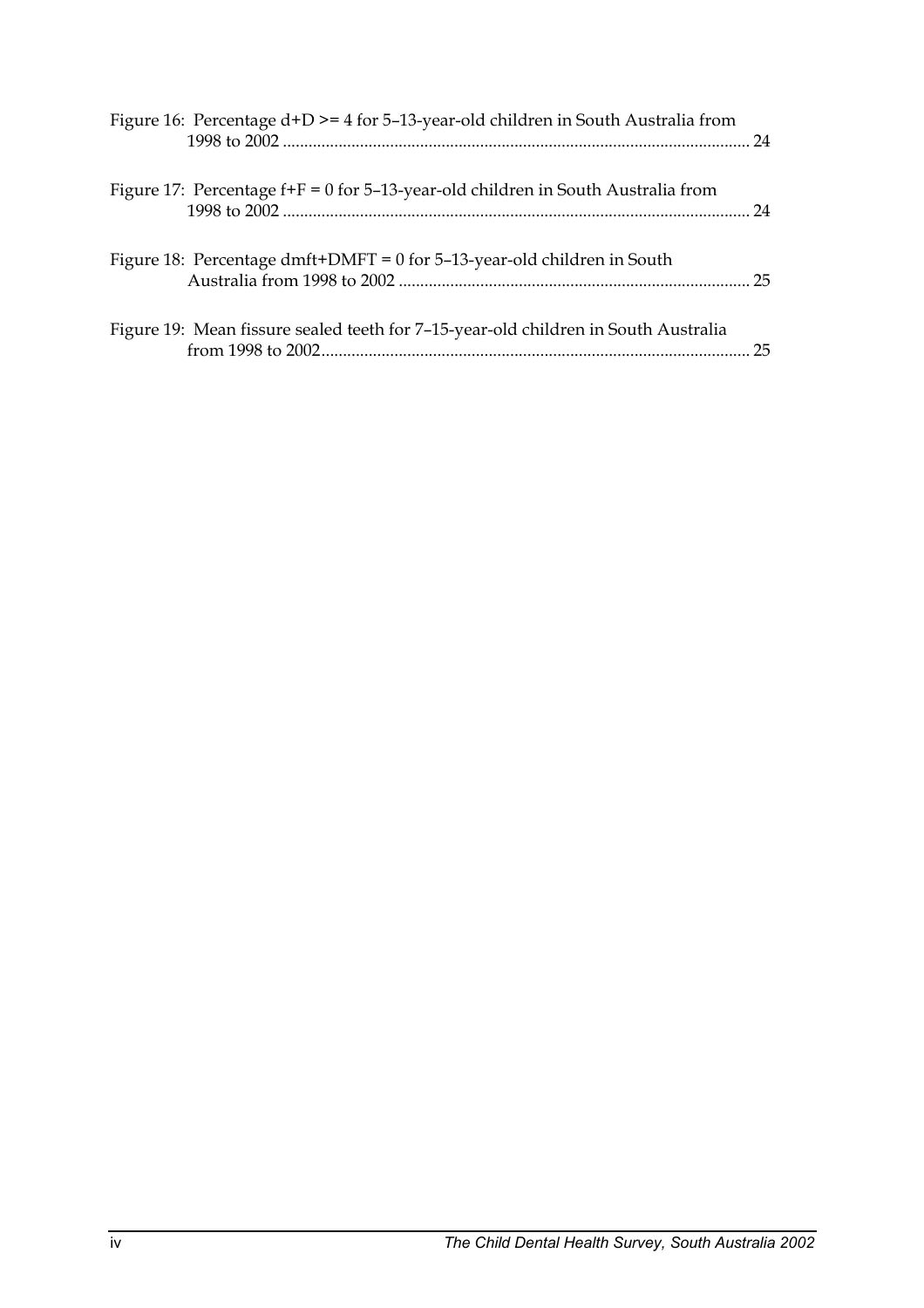| Figure 16: Percentage d+D >= 4 for 5-13-year-old children in South Australia from    |  |
|--------------------------------------------------------------------------------------|--|
| Figure 17: Percentage $f + F = 0$ for 5-13-year-old children in South Australia from |  |
| Figure 18: Percentage dmft+DMFT = $0$ for 5-13-year-old children in South            |  |
| Figure 19: Mean fissure sealed teeth for 7-15-year-old children in South Australia   |  |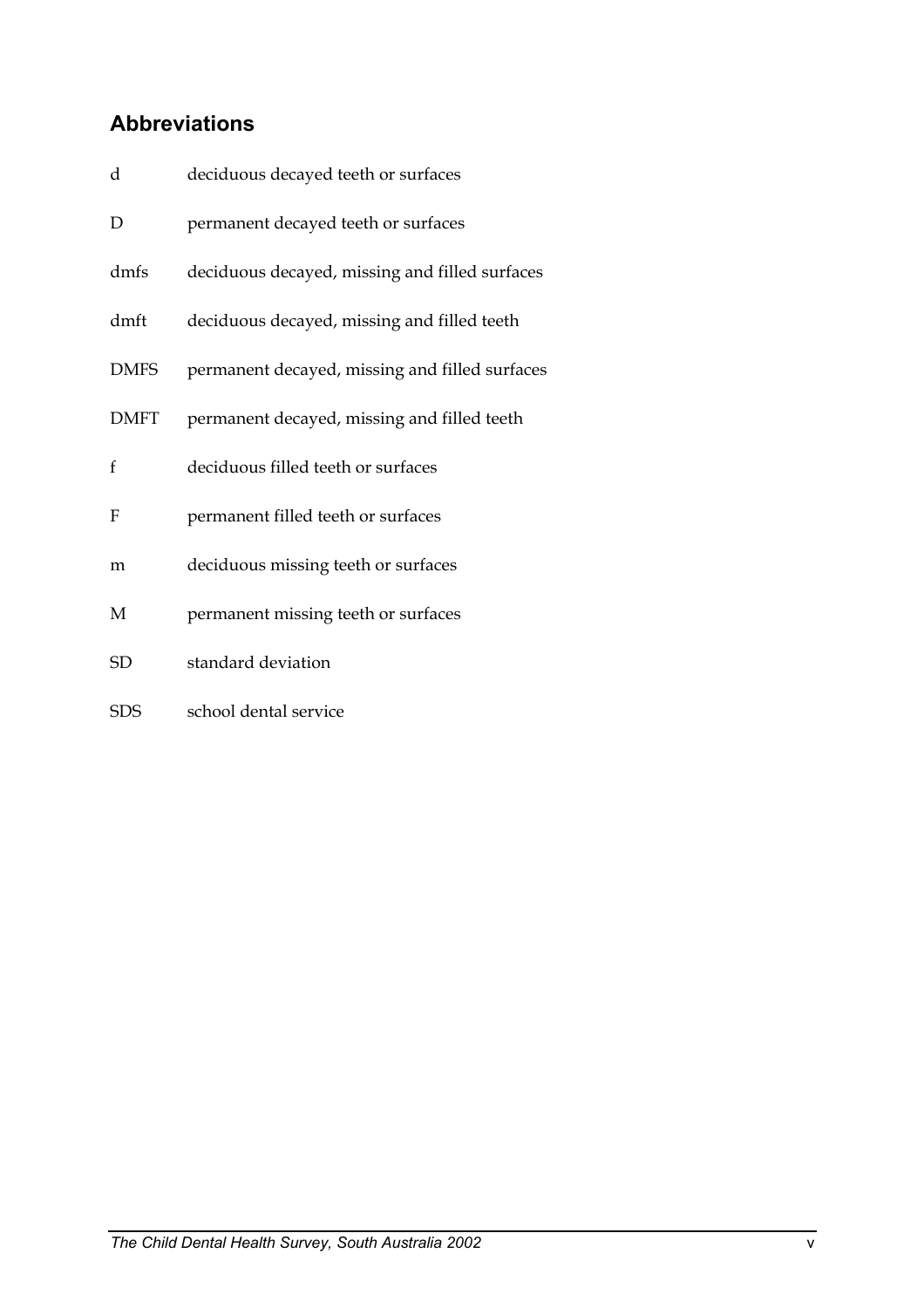# **Abbreviations**

| d            | deciduous decayed teeth or surfaces            |
|--------------|------------------------------------------------|
| D            | permanent decayed teeth or surfaces            |
| dmfs         | deciduous decayed, missing and filled surfaces |
| dmft         | deciduous decayed, missing and filled teeth    |
| <b>DMFS</b>  | permanent decayed, missing and filled surfaces |
| <b>DMFT</b>  | permanent decayed, missing and filled teeth    |
| $\mathbf{f}$ | deciduous filled teeth or surfaces             |
| F            | permanent filled teeth or surfaces             |
| m            | deciduous missing teeth or surfaces            |
| M            | permanent missing teeth or surfaces            |
| <b>SD</b>    | standard deviation                             |
| <b>SDS</b>   | school dental service                          |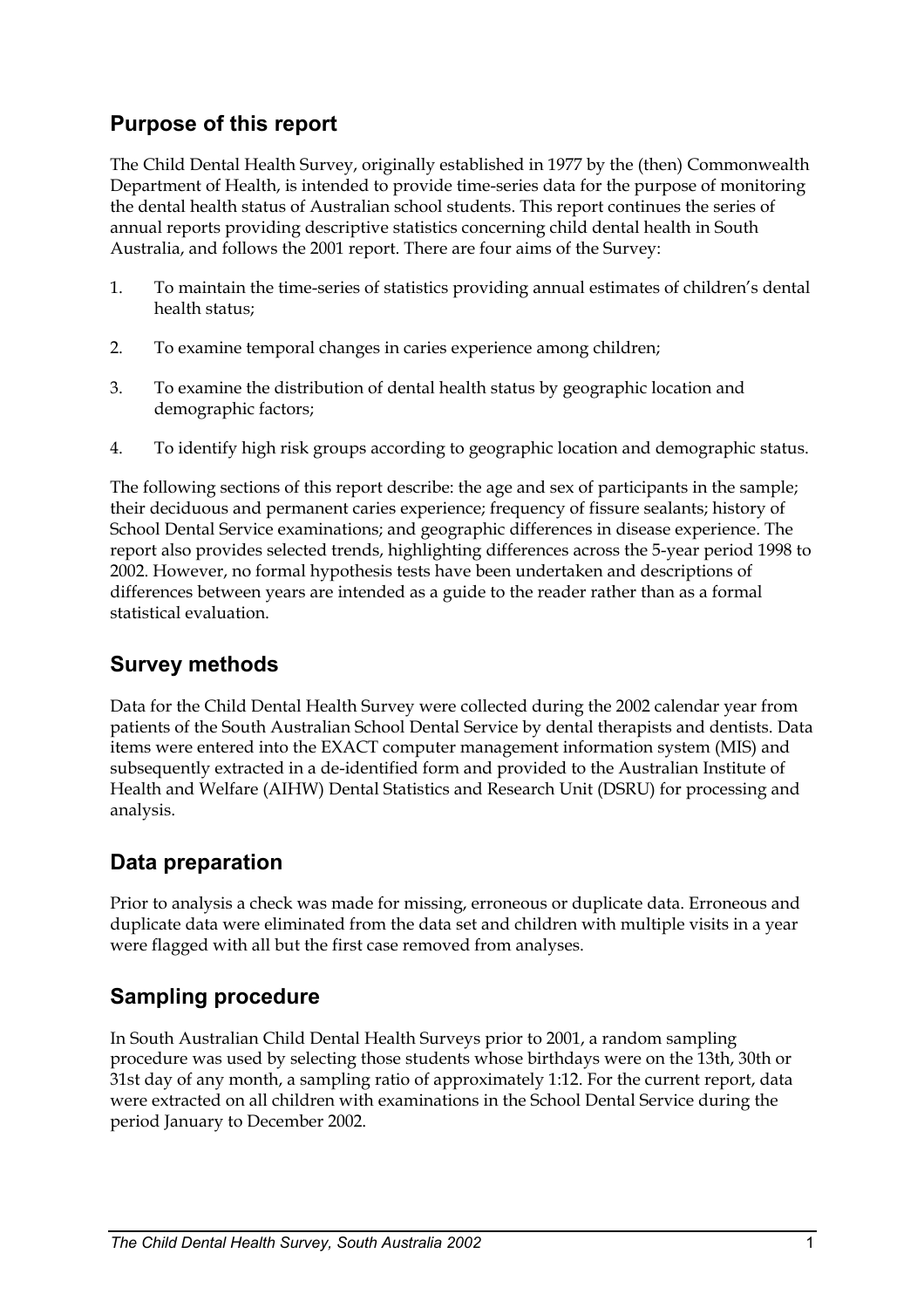## **Purpose of this report**

The Child Dental Health Survey, originally established in 1977 by the (then) Commonwealth Department of Health, is intended to provide time-series data for the purpose of monitoring the dental health status of Australian school students. This report continues the series of annual reports providing descriptive statistics concerning child dental health in South Australia, and follows the 2001 report. There are four aims of the Survey:

- 1. To maintain the time-series of statistics providing annual estimates of children's dental health status;
- 2. To examine temporal changes in caries experience among children;
- 3. To examine the distribution of dental health status by geographic location and demographic factors;
- 4. To identify high risk groups according to geographic location and demographic status.

The following sections of this report describe: the age and sex of participants in the sample; their deciduous and permanent caries experience; frequency of fissure sealants; history of School Dental Service examinations; and geographic differences in disease experience. The report also provides selected trends, highlighting differences across the 5-year period 1998 to 2002. However, no formal hypothesis tests have been undertaken and descriptions of differences between years are intended as a guide to the reader rather than as a formal statistical evaluation.

## **Survey methods**

Data for the Child Dental Health Survey were collected during the 2002 calendar year from patients of the South Australian School Dental Service by dental therapists and dentists. Data items were entered into the EXACT computer management information system (MIS) and subsequently extracted in a de-identified form and provided to the Australian Institute of Health and Welfare (AIHW) Dental Statistics and Research Unit (DSRU) for processing and analysis.

## **Data preparation**

Prior to analysis a check was made for missing, erroneous or duplicate data. Erroneous and duplicate data were eliminated from the data set and children with multiple visits in a year were flagged with all but the first case removed from analyses.

## **Sampling procedure**

In South Australian Child Dental Health Surveys prior to 2001, a random sampling procedure was used by selecting those students whose birthdays were on the 13th, 30th or 31st day of any month, a sampling ratio of approximately 1:12. For the current report, data were extracted on all children with examinations in the School Dental Service during the period January to December 2002.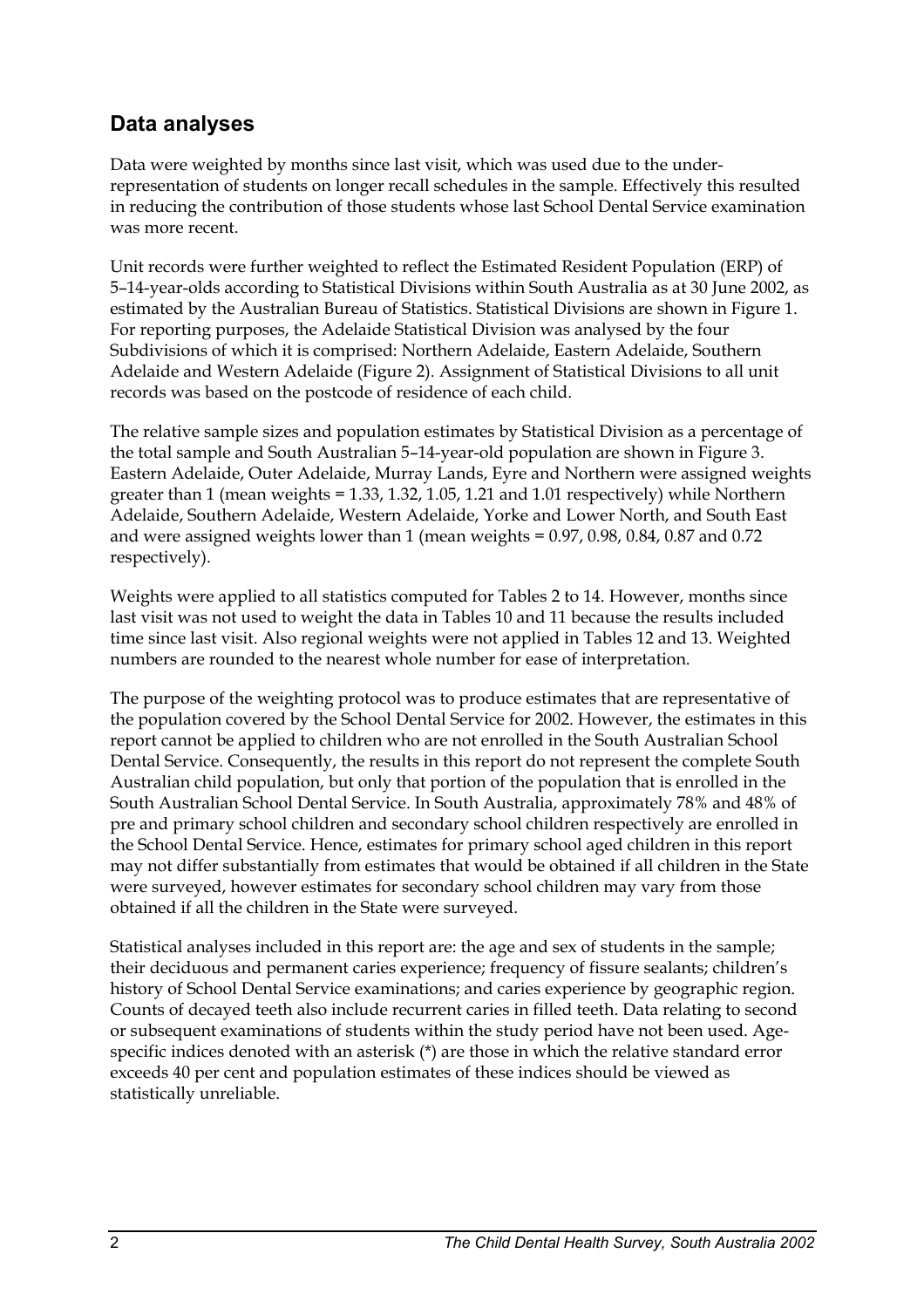#### **Data analyses**

Data were weighted by months since last visit, which was used due to the underrepresentation of students on longer recall schedules in the sample. Effectively this resulted in reducing the contribution of those students whose last School Dental Service examination was more recent.

Unit records were further weighted to reflect the Estimated Resident Population (ERP) of 5–14-year-olds according to Statistical Divisions within South Australia as at 30 June 2002, as estimated by the Australian Bureau of Statistics. Statistical Divisions are shown in Figure 1. For reporting purposes, the Adelaide Statistical Division was analysed by the four Subdivisions of which it is comprised: Northern Adelaide, Eastern Adelaide, Southern Adelaide and Western Adelaide (Figure 2). Assignment of Statistical Divisions to all unit records was based on the postcode of residence of each child.

The relative sample sizes and population estimates by Statistical Division as a percentage of the total sample and South Australian 5–14-year-old population are shown in Figure 3. Eastern Adelaide, Outer Adelaide, Murray Lands, Eyre and Northern were assigned weights greater than 1 (mean weights = 1.33, 1.32, 1.05, 1.21 and 1.01 respectively) while Northern Adelaide, Southern Adelaide, Western Adelaide, Yorke and Lower North, and South East and were assigned weights lower than 1 (mean weights  $= 0.97, 0.98, 0.84, 0.87$  and 0.72 respectively).

Weights were applied to all statistics computed for Tables 2 to 14. However, months since last visit was not used to weight the data in Tables 10 and 11 because the results included time since last visit. Also regional weights were not applied in Tables 12 and 13. Weighted numbers are rounded to the nearest whole number for ease of interpretation.

The purpose of the weighting protocol was to produce estimates that are representative of the population covered by the School Dental Service for 2002. However, the estimates in this report cannot be applied to children who are not enrolled in the South Australian School Dental Service. Consequently, the results in this report do not represent the complete South Australian child population, but only that portion of the population that is enrolled in the South Australian School Dental Service. In South Australia, approximately 78% and 48% of pre and primary school children and secondary school children respectively are enrolled in the School Dental Service. Hence, estimates for primary school aged children in this report may not differ substantially from estimates that would be obtained if all children in the State were surveyed, however estimates for secondary school children may vary from those obtained if all the children in the State were surveyed.

Statistical analyses included in this report are: the age and sex of students in the sample; their deciduous and permanent caries experience; frequency of fissure sealants; children's history of School Dental Service examinations; and caries experience by geographic region. Counts of decayed teeth also include recurrent caries in filled teeth. Data relating to second or subsequent examinations of students within the study period have not been used. Agespecific indices denoted with an asterisk (\*) are those in which the relative standard error exceeds 40 per cent and population estimates of these indices should be viewed as statistically unreliable.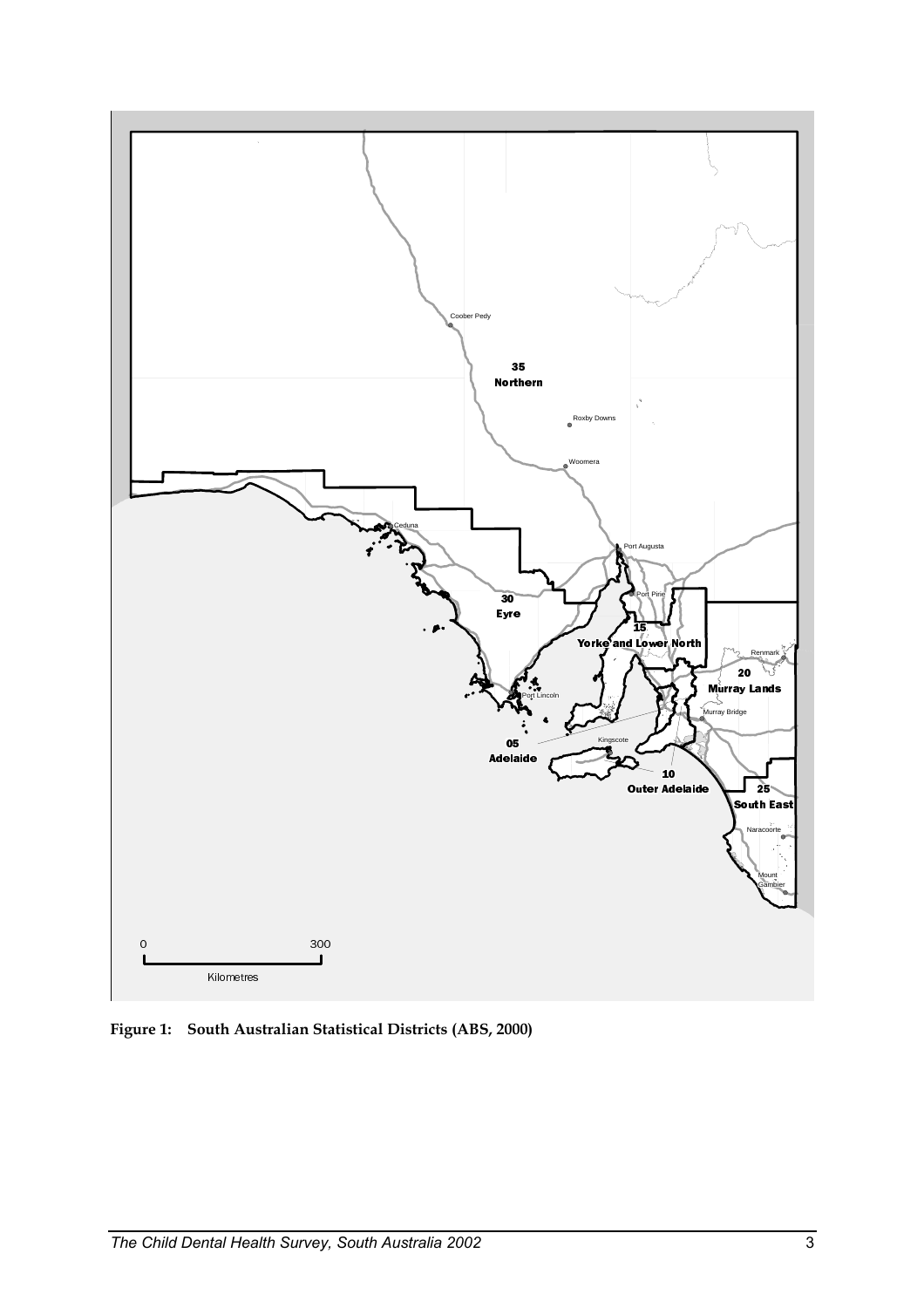

**Figure 1: South Australian Statistical Districts (ABS, 2000)**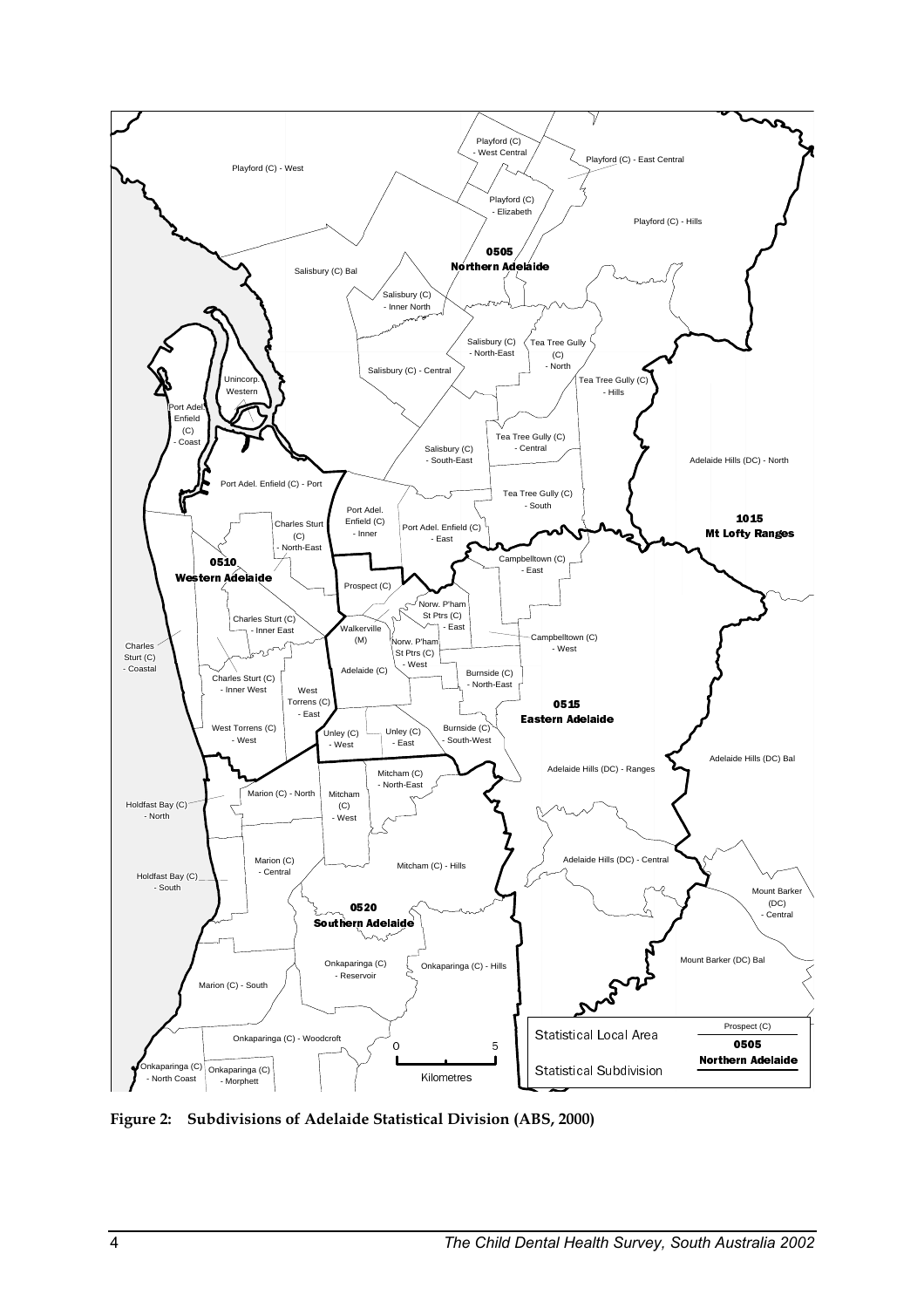

**Figure 2: Subdivisions of Adelaide Statistical Division (ABS, 2000)**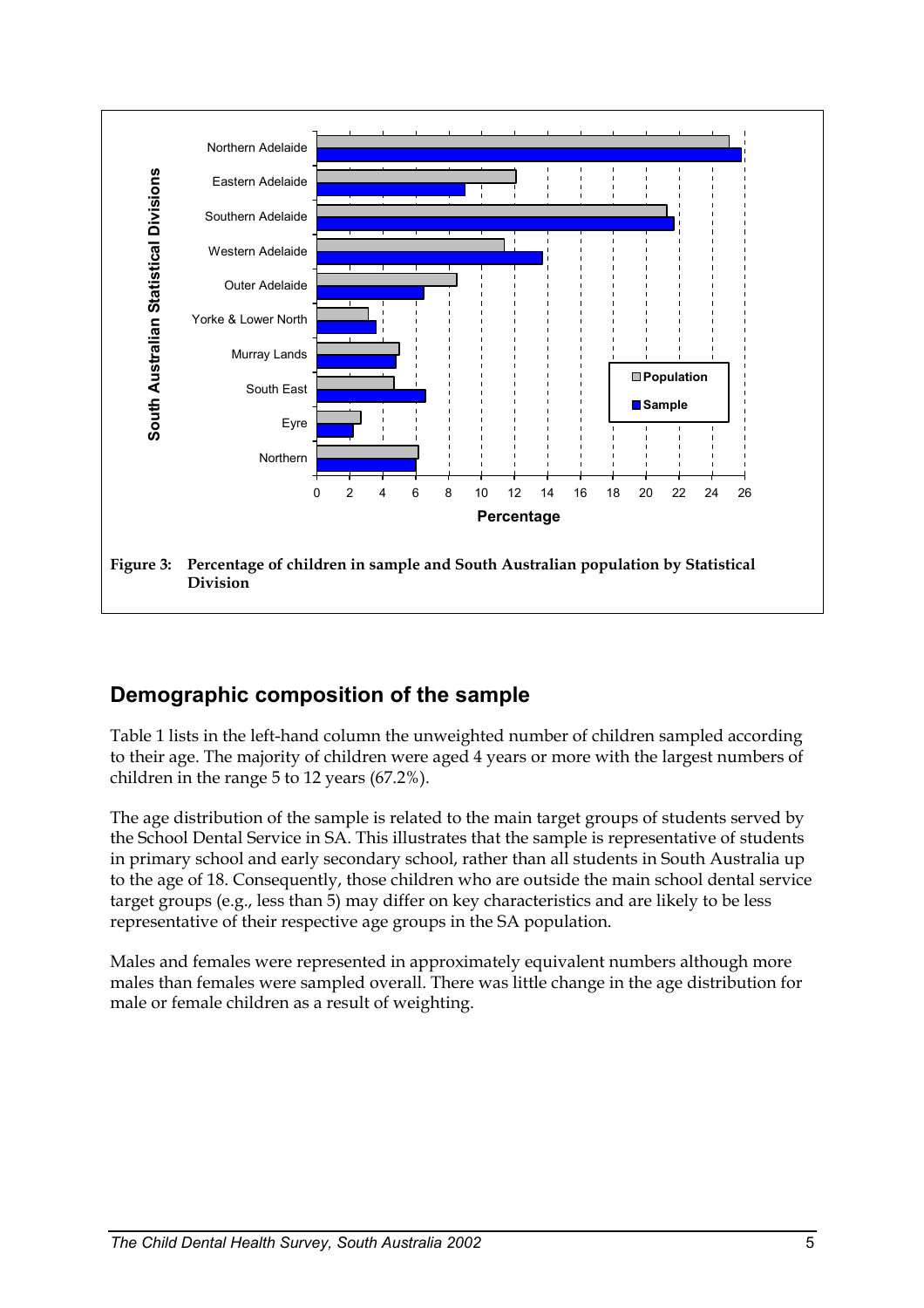

## **Demographic composition of the sample**

Table 1 lists in the left-hand column the unweighted number of children sampled according to their age. The majority of children were aged 4 years or more with the largest numbers of children in the range 5 to 12 years (67.2%).

The age distribution of the sample is related to the main target groups of students served by the School Dental Service in SA. This illustrates that the sample is representative of students in primary school and early secondary school, rather than all students in South Australia up to the age of 18. Consequently, those children who are outside the main school dental service target groups (e.g., less than 5) may differ on key characteristics and are likely to be less representative of their respective age groups in the SA population.

Males and females were represented in approximately equivalent numbers although more males than females were sampled overall. There was little change in the age distribution for male or female children as a result of weighting.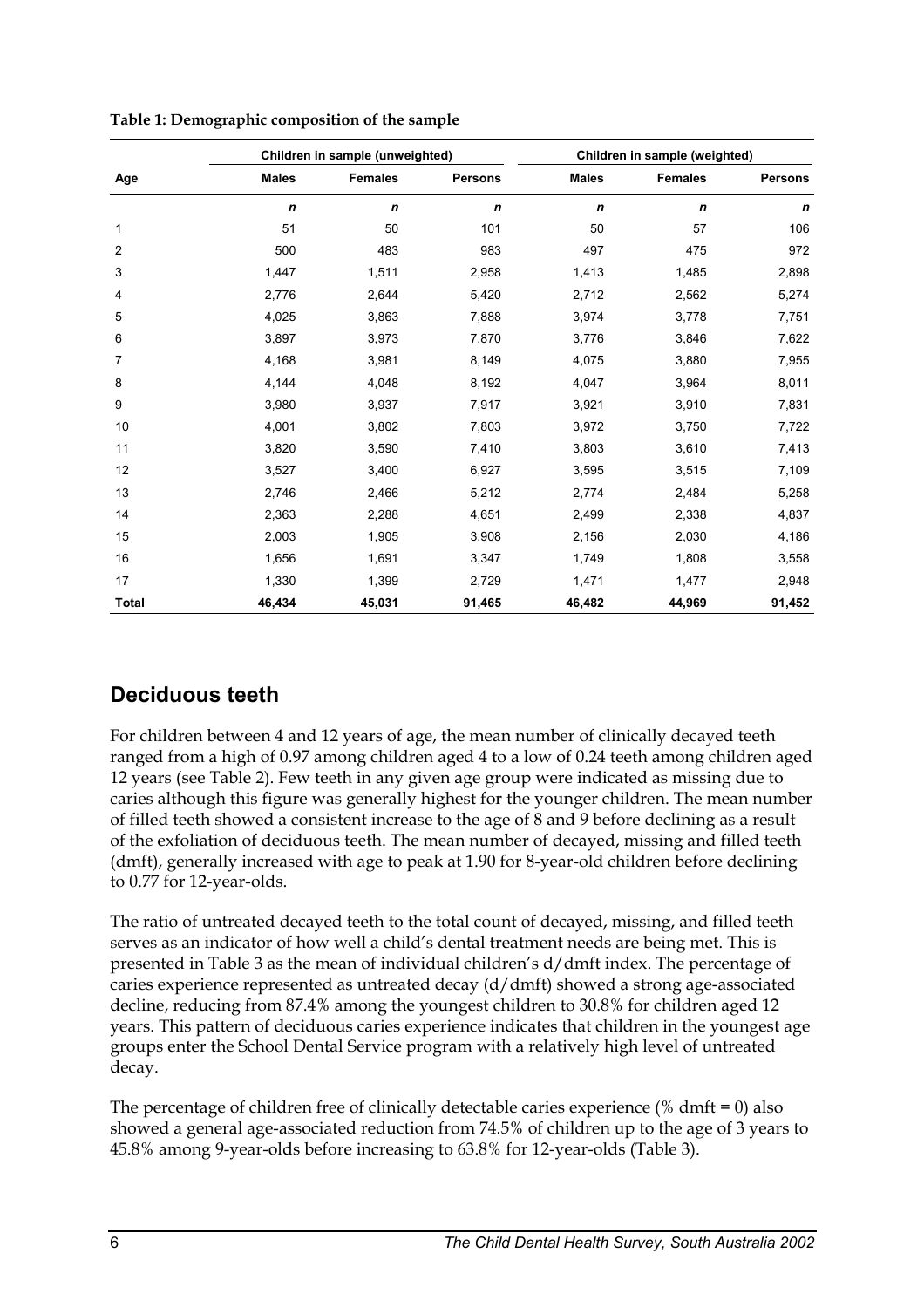|              |              | Children in sample (unweighted) |                  | Children in sample (weighted) |                |                |  |
|--------------|--------------|---------------------------------|------------------|-------------------------------|----------------|----------------|--|
| Age          | <b>Males</b> | <b>Females</b>                  | <b>Persons</b>   | <b>Males</b>                  | <b>Females</b> | <b>Persons</b> |  |
|              | $\mathbf n$  | $\mathbf n$                     | $\boldsymbol{n}$ | n                             | $\mathbf n$    | $\mathbf n$    |  |
| 1            | 51           | 50                              | 101              | 50                            | 57             | 106            |  |
| 2            | 500          | 483                             | 983              | 497                           | 475            | 972            |  |
| 3            | 1,447        | 1,511                           | 2,958            | 1,413                         | 1,485          | 2,898          |  |
| 4            | 2,776        | 2,644                           | 5,420            | 2,712                         | 2,562          | 5,274          |  |
| 5            | 4,025        | 3,863                           | 7,888            | 3,974                         | 3,778          | 7,751          |  |
| 6            | 3,897        | 3,973                           | 7,870            | 3,776                         | 3,846          | 7,622          |  |
| 7            | 4,168        | 3,981                           | 8,149            | 4,075                         | 3,880          | 7,955          |  |
| 8            | 4,144        | 4,048                           | 8,192            | 4,047                         | 3,964          | 8,011          |  |
| 9            | 3,980        | 3,937                           | 7,917            | 3,921                         | 3,910          | 7,831          |  |
| $10$         | 4,001        | 3,802                           | 7,803            | 3,972                         | 3,750          | 7,722          |  |
| 11           | 3,820        | 3,590                           | 7,410            | 3,803                         | 3,610          | 7,413          |  |
| 12           | 3,527        | 3,400                           | 6,927            | 3,595                         | 3,515          | 7,109          |  |
| 13           | 2,746        | 2,466                           | 5,212            | 2,774                         | 2,484          | 5,258          |  |
| 14           | 2,363        | 2,288                           | 4,651            | 2,499                         | 2,338          | 4,837          |  |
| 15           | 2,003        | 1,905                           | 3,908            | 2,156                         | 2,030          | 4,186          |  |
| 16           | 1,656        | 1,691                           | 3,347            | 1,749                         | 1,808          | 3,558          |  |
| 17           | 1,330        | 1,399                           | 2,729            | 1,471                         | 1,477          | 2,948          |  |
| <b>Total</b> | 46,434       | 45,031                          | 91,465           | 46,482                        | 44,969         | 91,452         |  |

**Table 1: Demographic composition of the sample** 

## **Deciduous teeth**

For children between 4 and 12 years of age, the mean number of clinically decayed teeth ranged from a high of 0.97 among children aged 4 to a low of 0.24 teeth among children aged 12 years (see Table 2). Few teeth in any given age group were indicated as missing due to caries although this figure was generally highest for the younger children. The mean number of filled teeth showed a consistent increase to the age of 8 and 9 before declining as a result of the exfoliation of deciduous teeth. The mean number of decayed, missing and filled teeth (dmft), generally increased with age to peak at 1.90 for 8-year-old children before declining to 0.77 for 12-year-olds.

The ratio of untreated decayed teeth to the total count of decayed, missing, and filled teeth serves as an indicator of how well a child's dental treatment needs are being met. This is presented in Table 3 as the mean of individual children's d/dmft index. The percentage of caries experience represented as untreated decay (d/dmft) showed a strong age-associated decline, reducing from 87.4% among the youngest children to 30.8% for children aged 12 years. This pattern of deciduous caries experience indicates that children in the youngest age groups enter the School Dental Service program with a relatively high level of untreated decay.

The percentage of children free of clinically detectable caries experience ( $%$  dmft = 0) also showed a general age-associated reduction from 74.5% of children up to the age of 3 years to 45.8% among 9-year-olds before increasing to 63.8% for 12-year-olds (Table 3).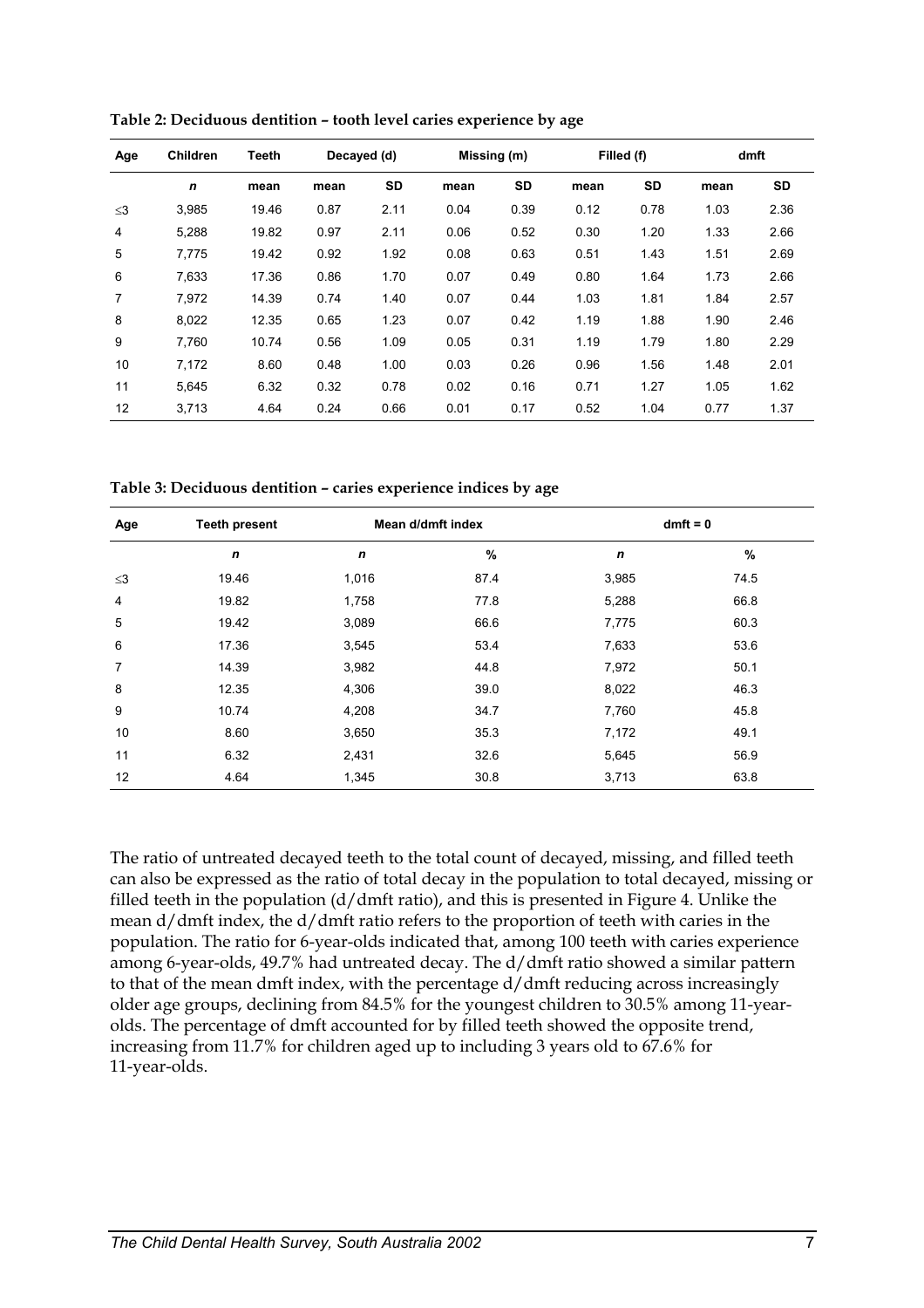| Age            | <b>Children</b> | <b>Teeth</b> | Decayed (d) |      | Missing (m) |      |      | Filled (f) |      | dmft |
|----------------|-----------------|--------------|-------------|------|-------------|------|------|------------|------|------|
|                | $\mathbf n$     | mean         | mean        | SD   | mean        | SD   | mean | <b>SD</b>  | mean | SD   |
| $\leq$ 3       | 3,985           | 19.46        | 0.87        | 2.11 | 0.04        | 0.39 | 0.12 | 0.78       | 1.03 | 2.36 |
| $\overline{4}$ | 5,288           | 19.82        | 0.97        | 2.11 | 0.06        | 0.52 | 0.30 | 1.20       | 1.33 | 2.66 |
| 5              | 7,775           | 19.42        | 0.92        | 1.92 | 0.08        | 0.63 | 0.51 | 1.43       | 1.51 | 2.69 |
| 6              | 7.633           | 17.36        | 0.86        | 1.70 | 0.07        | 0.49 | 0.80 | 1.64       | 1.73 | 2.66 |
| 7              | 7.972           | 14.39        | 0.74        | 1.40 | 0.07        | 0.44 | 1.03 | 1.81       | 1.84 | 2.57 |
| 8              | 8,022           | 12.35        | 0.65        | 1.23 | 0.07        | 0.42 | 1.19 | 1.88       | 1.90 | 2.46 |
| 9              | 7.760           | 10.74        | 0.56        | 1.09 | 0.05        | 0.31 | 1.19 | 1.79       | 1.80 | 2.29 |
| 10             | 7.172           | 8.60         | 0.48        | 1.00 | 0.03        | 0.26 | 0.96 | 1.56       | 1.48 | 2.01 |
| 11             | 5.645           | 6.32         | 0.32        | 0.78 | 0.02        | 0.16 | 0.71 | 1.27       | 1.05 | 1.62 |
| 12             | 3.713           | 4.64         | 0.24        | 0.66 | 0.01        | 0.17 | 0.52 | 1.04       | 0.77 | 1.37 |

**Table 2: Deciduous dentition – tooth level caries experience by age** 

**Table 3: Deciduous dentition – caries experience indices by age** 

| Age            | <b>Teeth present</b> | Mean d/dmft index |      | $dmft = 0$  |      |  |
|----------------|----------------------|-------------------|------|-------------|------|--|
|                | $\mathbf n$          | $\mathbf n$       | $\%$ | $\mathbf n$ | %    |  |
| $\leq$ 3       | 19.46                | 1,016             | 87.4 | 3,985       | 74.5 |  |
| $\overline{4}$ | 19.82                | 1,758             | 77.8 | 5,288       | 66.8 |  |
| 5              | 19.42                | 3,089             | 66.6 | 7,775       | 60.3 |  |
| 6              | 17.36                | 3,545             | 53.4 | 7,633       | 53.6 |  |
| 7              | 14.39                | 3,982             | 44.8 | 7,972       | 50.1 |  |
| 8              | 12.35                | 4,306             | 39.0 | 8,022       | 46.3 |  |
| 9              | 10.74                | 4,208             | 34.7 | 7,760       | 45.8 |  |
| 10             | 8.60                 | 3,650             | 35.3 | 7,172       | 49.1 |  |
| 11             | 6.32                 | 2,431             | 32.6 | 5,645       | 56.9 |  |
| 12             | 4.64                 | 1,345             | 30.8 | 3,713       | 63.8 |  |

The ratio of untreated decayed teeth to the total count of decayed, missing, and filled teeth can also be expressed as the ratio of total decay in the population to total decayed, missing or filled teeth in the population (d/dmft ratio), and this is presented in Figure 4. Unlike the mean d/dmft index, the d/dmft ratio refers to the proportion of teeth with caries in the population. The ratio for 6-year-olds indicated that, among 100 teeth with caries experience among 6-year-olds, 49.7% had untreated decay. The d/dmft ratio showed a similar pattern to that of the mean dmft index, with the percentage d/dmft reducing across increasingly older age groups, declining from 84.5% for the youngest children to 30.5% among 11-yearolds. The percentage of dmft accounted for by filled teeth showed the opposite trend, increasing from 11.7% for children aged up to including 3 years old to 67.6% for 11-year-olds.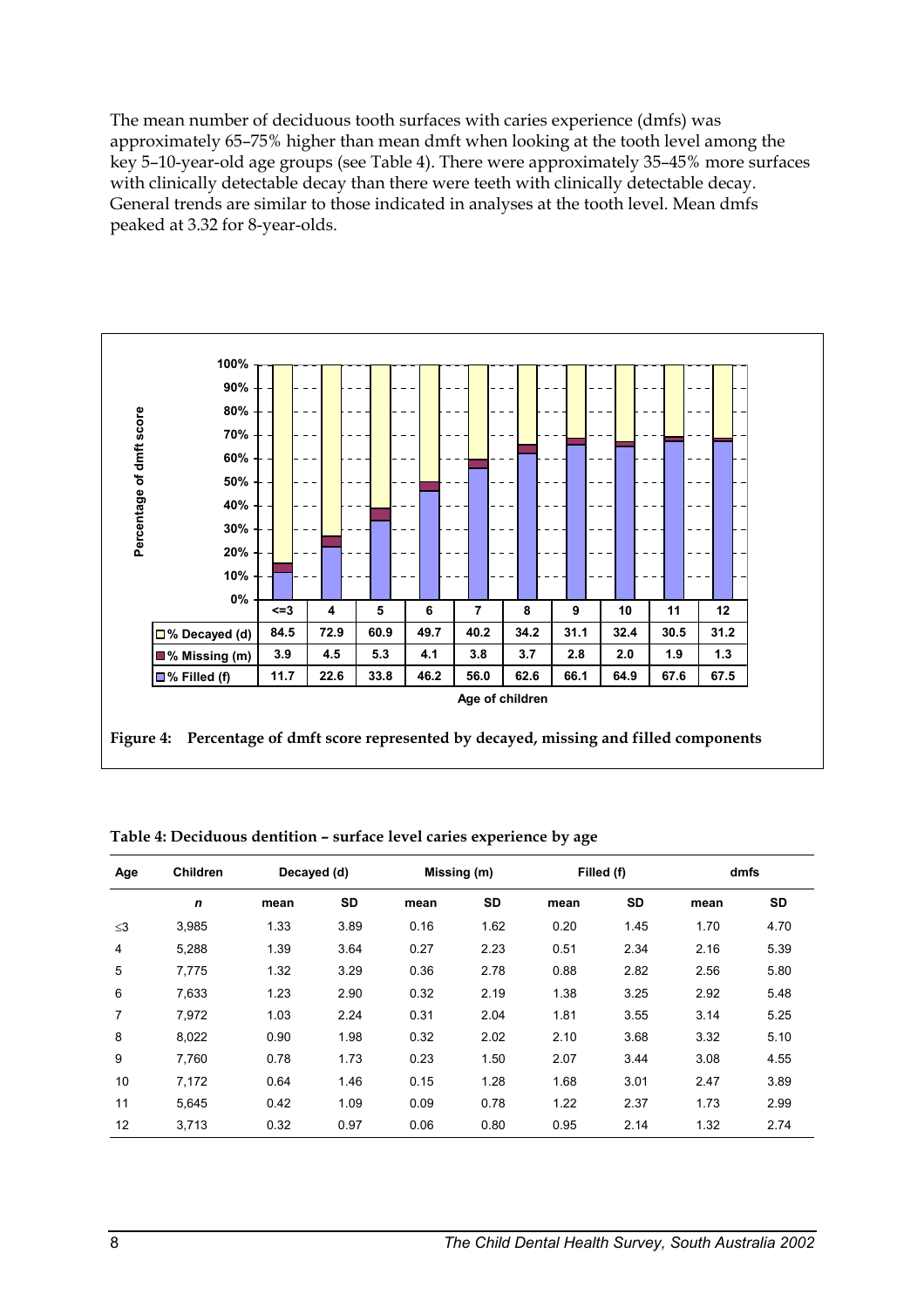The mean number of deciduous tooth surfaces with caries experience (dmfs) was approximately 65–75% higher than mean dmft when looking at the tooth level among the key 5–10-year-old age groups (see Table 4). There were approximately 35–45% more surfaces with clinically detectable decay than there were teeth with clinically detectable decay. General trends are similar to those indicated in analyses at the tooth level. Mean dmfs peaked at 3.32 for 8-year-olds.



| Table 4: Deciduous dentition - surface level caries experience by age |
|-----------------------------------------------------------------------|
|-----------------------------------------------------------------------|

| Age            | <b>Children</b> | Decayed (d) |           | Missing (m) |           | Filled (f) |           | dmfs |           |
|----------------|-----------------|-------------|-----------|-------------|-----------|------------|-----------|------|-----------|
|                | $\mathbf n$     | mean        | <b>SD</b> | mean        | <b>SD</b> | mean       | <b>SD</b> | mean | <b>SD</b> |
| $\leq$ 3       | 3.985           | 1.33        | 3.89      | 0.16        | 1.62      | 0.20       | 1.45      | 1.70 | 4.70      |
| $\overline{4}$ | 5,288           | 1.39        | 3.64      | 0.27        | 2.23      | 0.51       | 2.34      | 2.16 | 5.39      |
| 5              | 7.775           | 1.32        | 3.29      | 0.36        | 2.78      | 0.88       | 2.82      | 2.56 | 5.80      |
| 6              | 7,633           | 1.23        | 2.90      | 0.32        | 2.19      | 1.38       | 3.25      | 2.92 | 5.48      |
| $\overline{7}$ | 7.972           | 1.03        | 2.24      | 0.31        | 2.04      | 1.81       | 3.55      | 3.14 | 5.25      |
| 8              | 8.022           | 0.90        | 1.98      | 0.32        | 2.02      | 2.10       | 3.68      | 3.32 | 5.10      |
| 9              | 7.760           | 0.78        | 1.73      | 0.23        | 1.50      | 2.07       | 3.44      | 3.08 | 4.55      |
| 10             | 7.172           | 0.64        | 1.46      | 0.15        | 1.28      | 1.68       | 3.01      | 2.47 | 3.89      |
| 11             | 5.645           | 0.42        | 1.09      | 0.09        | 0.78      | 1.22       | 2.37      | 1.73 | 2.99      |
| 12             | 3.713           | 0.32        | 0.97      | 0.06        | 0.80      | 0.95       | 2.14      | 1.32 | 2.74      |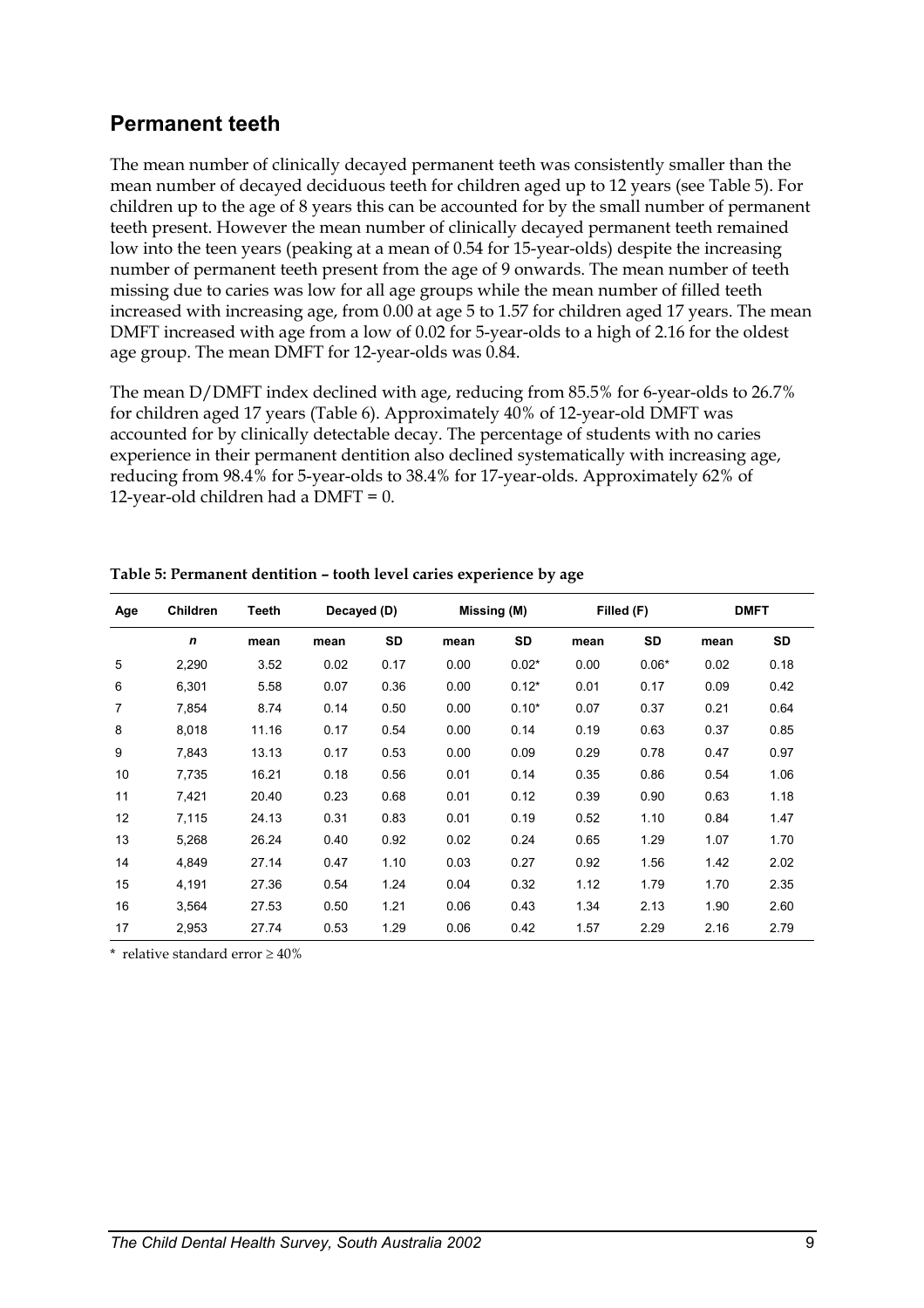#### **Permanent teeth**

The mean number of clinically decayed permanent teeth was consistently smaller than the mean number of decayed deciduous teeth for children aged up to 12 years (see Table 5). For children up to the age of 8 years this can be accounted for by the small number of permanent teeth present. However the mean number of clinically decayed permanent teeth remained low into the teen years (peaking at a mean of 0.54 for 15-year-olds) despite the increasing number of permanent teeth present from the age of 9 onwards. The mean number of teeth missing due to caries was low for all age groups while the mean number of filled teeth increased with increasing age, from 0.00 at age 5 to 1.57 for children aged 17 years. The mean DMFT increased with age from a low of 0.02 for 5-year-olds to a high of 2.16 for the oldest age group. The mean DMFT for 12-year-olds was 0.84.

The mean D/DMFT index declined with age, reducing from 85.5% for 6-year-olds to 26.7% for children aged 17 years (Table 6). Approximately 40% of 12-year-old DMFT was accounted for by clinically detectable decay. The percentage of students with no caries experience in their permanent dentition also declined systematically with increasing age, reducing from 98.4% for 5-year-olds to 38.4% for 17-year-olds. Approximately 62% of 12-year-old children had a  $DMFT = 0$ .

| Age | Children    | Teeth | Decayed (D) |           | Missing (M) |         | Filled (F) |         | <b>DMFT</b> |           |
|-----|-------------|-------|-------------|-----------|-------------|---------|------------|---------|-------------|-----------|
|     | $\mathbf n$ | mean  | mean        | <b>SD</b> | mean        | SD      | mean       | SD      | mean        | <b>SD</b> |
| 5   | 2,290       | 3.52  | 0.02        | 0.17      | 0.00        | $0.02*$ | 0.00       | $0.06*$ | 0.02        | 0.18      |
| 6   | 6,301       | 5.58  | 0.07        | 0.36      | 0.00        | $0.12*$ | 0.01       | 0.17    | 0.09        | 0.42      |
| 7   | 7,854       | 8.74  | 0.14        | 0.50      | 0.00        | $0.10*$ | 0.07       | 0.37    | 0.21        | 0.64      |
| 8   | 8,018       | 11.16 | 0.17        | 0.54      | 0.00        | 0.14    | 0.19       | 0.63    | 0.37        | 0.85      |
| 9   | 7,843       | 13.13 | 0.17        | 0.53      | 0.00        | 0.09    | 0.29       | 0.78    | 0.47        | 0.97      |
| 10  | 7,735       | 16.21 | 0.18        | 0.56      | 0.01        | 0.14    | 0.35       | 0.86    | 0.54        | 1.06      |
| 11  | 7,421       | 20.40 | 0.23        | 0.68      | 0.01        | 0.12    | 0.39       | 0.90    | 0.63        | 1.18      |
| 12  | 7,115       | 24.13 | 0.31        | 0.83      | 0.01        | 0.19    | 0.52       | 1.10    | 0.84        | 1.47      |
| 13  | 5,268       | 26.24 | 0.40        | 0.92      | 0.02        | 0.24    | 0.65       | 1.29    | 1.07        | 1.70      |
| 14  | 4,849       | 27.14 | 0.47        | 1.10      | 0.03        | 0.27    | 0.92       | 1.56    | 1.42        | 2.02      |
| 15  | 4,191       | 27.36 | 0.54        | 1.24      | 0.04        | 0.32    | 1.12       | 1.79    | 1.70        | 2.35      |
| 16  | 3,564       | 27.53 | 0.50        | 1.21      | 0.06        | 0.43    | 1.34       | 2.13    | 1.90        | 2.60      |
| 17  | 2,953       | 27.74 | 0.53        | 1.29      | 0.06        | 0.42    | 1.57       | 2.29    | 2.16        | 2.79      |

**Table 5: Permanent dentition – tooth level caries experience by age** 

\* relative standard error ≥ 40%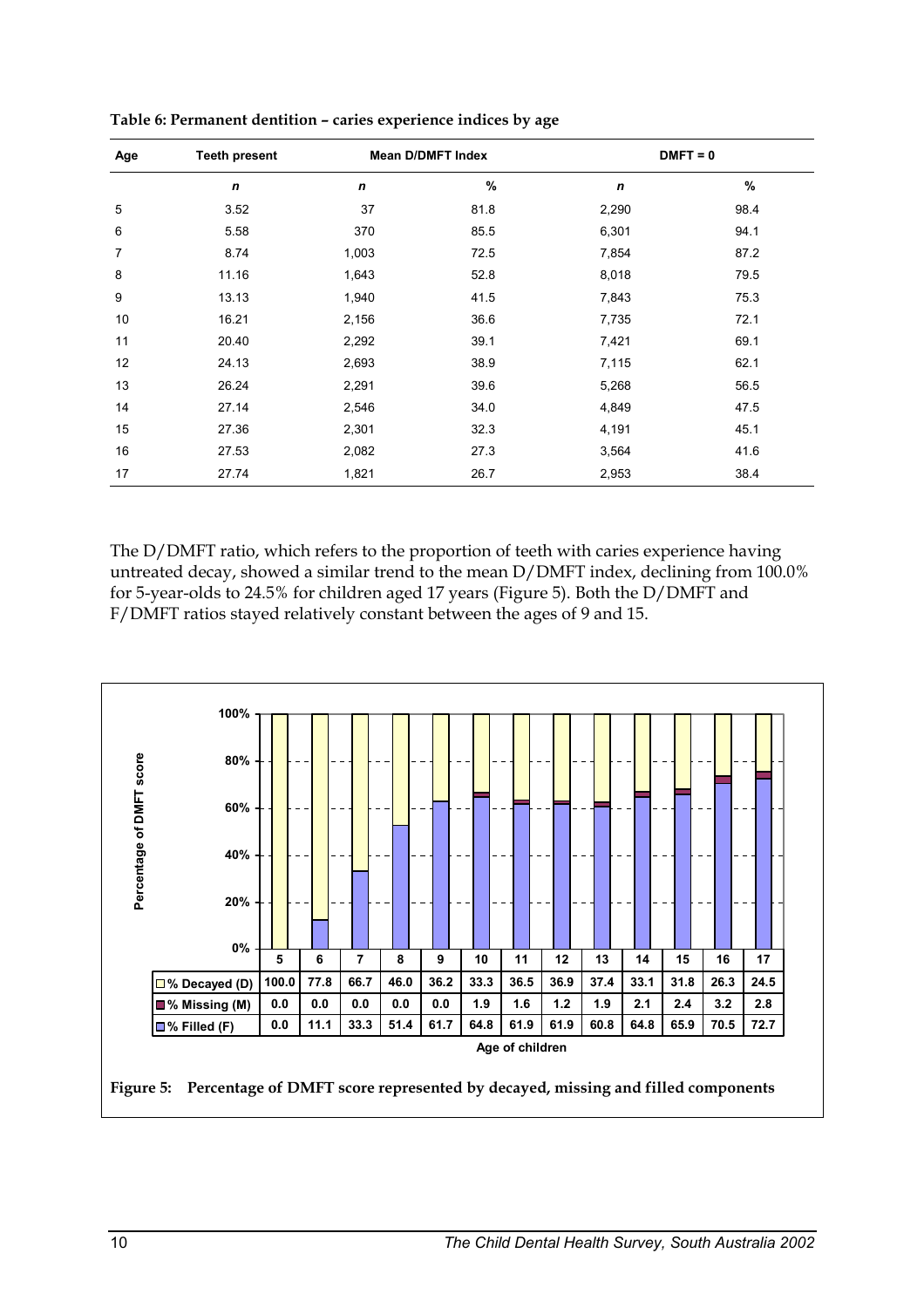| Age | <b>Teeth present</b> |             | <b>Mean D/DMFT Index</b> | $DMFT = 0$       |      |  |  |
|-----|----------------------|-------------|--------------------------|------------------|------|--|--|
|     | $\mathbf n$          | $\mathbf n$ | $\%$                     | $\boldsymbol{n}$ | $\%$ |  |  |
| 5   | 3.52                 | 37          | 81.8                     | 2,290            | 98.4 |  |  |
| 6   | 5.58                 | 370         | 85.5                     | 6,301            | 94.1 |  |  |
| 7   | 8.74                 | 1,003       | 72.5                     | 7,854            | 87.2 |  |  |
| 8   | 11.16                | 1,643       | 52.8                     | 8,018            | 79.5 |  |  |
| 9   | 13.13                | 1,940       | 41.5                     | 7,843            | 75.3 |  |  |
| 10  | 16.21                | 2,156       | 36.6                     | 7,735            | 72.1 |  |  |
| 11  | 20.40                | 2,292       | 39.1                     | 7,421            | 69.1 |  |  |
| 12  | 24.13                | 2,693       | 38.9                     | 7,115            | 62.1 |  |  |
| 13  | 26.24                | 2,291       | 39.6                     | 5,268            | 56.5 |  |  |
| 14  | 27.14                | 2,546       | 34.0                     | 4,849            | 47.5 |  |  |
| 15  | 27.36                | 2,301       | 32.3                     | 4,191            | 45.1 |  |  |
| 16  | 27.53                | 2,082       | 27.3                     | 3,564            | 41.6 |  |  |
| 17  | 27.74                | 1,821       | 26.7                     | 2,953            | 38.4 |  |  |

**Table 6: Permanent dentition – caries experience indices by age** 

The D/DMFT ratio, which refers to the proportion of teeth with caries experience having untreated decay, showed a similar trend to the mean D/DMFT index, declining from 100.0% for 5-year-olds to 24.5% for children aged 17 years (Figure 5). Both the D/DMFT and F/DMFT ratios stayed relatively constant between the ages of 9 and 15.

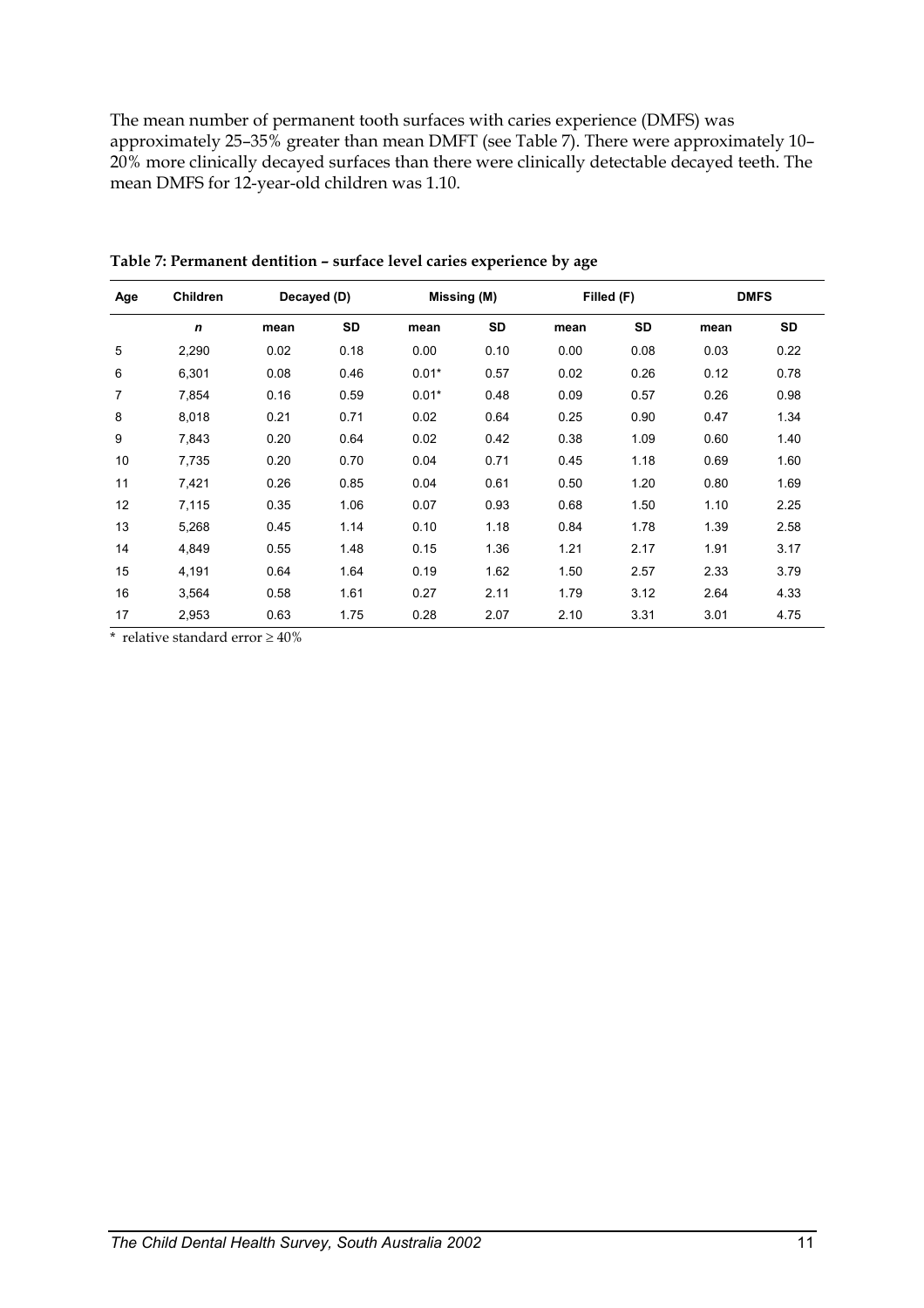The mean number of permanent tooth surfaces with caries experience (DMFS) was approximately 25–35% greater than mean DMFT (see Table 7). There were approximately 10– 20% more clinically decayed surfaces than there were clinically detectable decayed teeth. The mean DMFS for 12-year-old children was 1.10.

| Age | Children    | Decayed (D) |           |         | Missing (M) |      | Filled (F) |      | <b>DMFS</b> |
|-----|-------------|-------------|-----------|---------|-------------|------|------------|------|-------------|
|     | $\mathbf n$ | mean        | <b>SD</b> | mean    | <b>SD</b>   | mean | <b>SD</b>  | mean | <b>SD</b>   |
| 5   | 2,290       | 0.02        | 0.18      | 0.00    | 0.10        | 0.00 | 0.08       | 0.03 | 0.22        |
| 6   | 6,301       | 0.08        | 0.46      | $0.01*$ | 0.57        | 0.02 | 0.26       | 0.12 | 0.78        |
| 7   | 7,854       | 0.16        | 0.59      | $0.01*$ | 0.48        | 0.09 | 0.57       | 0.26 | 0.98        |
| 8   | 8,018       | 0.21        | 0.71      | 0.02    | 0.64        | 0.25 | 0.90       | 0.47 | 1.34        |
| 9   | 7,843       | 0.20        | 0.64      | 0.02    | 0.42        | 0.38 | 1.09       | 0.60 | 1.40        |
| 10  | 7,735       | 0.20        | 0.70      | 0.04    | 0.71        | 0.45 | 1.18       | 0.69 | 1.60        |
| 11  | 7,421       | 0.26        | 0.85      | 0.04    | 0.61        | 0.50 | 1.20       | 0.80 | 1.69        |
| 12  | 7,115       | 0.35        | 1.06      | 0.07    | 0.93        | 0.68 | 1.50       | 1.10 | 2.25        |
| 13  | 5,268       | 0.45        | 1.14      | 0.10    | 1.18        | 0.84 | 1.78       | 1.39 | 2.58        |
| 14  | 4,849       | 0.55        | 1.48      | 0.15    | 1.36        | 1.21 | 2.17       | 1.91 | 3.17        |
| 15  | 4,191       | 0.64        | 1.64      | 0.19    | 1.62        | 1.50 | 2.57       | 2.33 | 3.79        |
| 16  | 3,564       | 0.58        | 1.61      | 0.27    | 2.11        | 1.79 | 3.12       | 2.64 | 4.33        |
| 17  | 2,953       | 0.63        | 1.75      | 0.28    | 2.07        | 2.10 | 3.31       | 3.01 | 4.75        |

**Table 7: Permanent dentition – surface level caries experience by age** 

\* relative standard error  $\geq 40\%$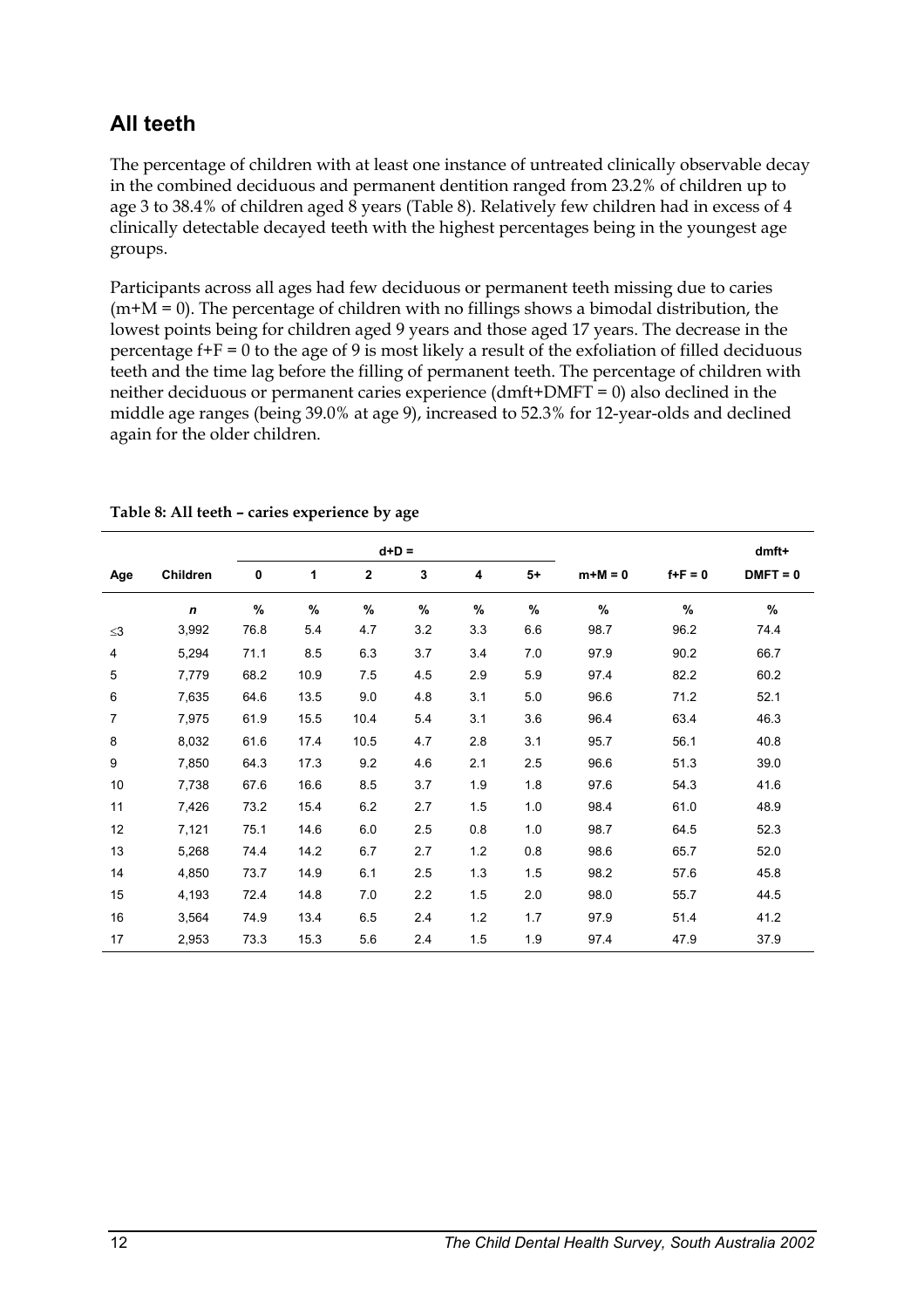## **All teeth**

The percentage of children with at least one instance of untreated clinically observable decay in the combined deciduous and permanent dentition ranged from 23.2% of children up to age 3 to 38.4% of children aged 8 years (Table 8). Relatively few children had in excess of 4 clinically detectable decayed teeth with the highest percentages being in the youngest age groups.

Participants across all ages had few deciduous or permanent teeth missing due to caries  $(m+M = 0)$ . The percentage of children with no fillings shows a bimodal distribution, the lowest points being for children aged 9 years and those aged 17 years. The decrease in the percentage  $f + F = 0$  to the age of 9 is most likely a result of the exfoliation of filled deciduous teeth and the time lag before the filling of permanent teeth. The percentage of children with neither deciduous or permanent caries experience (dmft+DMFT = 0) also declined in the middle age ranges (being 39.0% at age 9), increased to 52.3% for 12-year-olds and declined again for the older children.

|                |             |      |              |                | $d+D =$ |     |      |         |               | dmft+      |
|----------------|-------------|------|--------------|----------------|---------|-----|------|---------|---------------|------------|
| Age            | Children    | 0    | $\mathbf{1}$ | $\overline{2}$ | 3       | 4   | $5+$ | $m+M=0$ | $f + F = 0$   | $DMFT = 0$ |
|                | $\mathbf n$ | $\%$ | %            | $\%$           | %       | %   | $\%$ | $\%$    | $\frac{9}{6}$ | $\%$       |
| $\leq$ 3       | 3,992       | 76.8 | 5.4          | 4.7            | 3.2     | 3.3 | 6.6  | 98.7    | 96.2          | 74.4       |
| $\overline{4}$ | 5,294       | 71.1 | 8.5          | 6.3            | 3.7     | 3.4 | 7.0  | 97.9    | 90.2          | 66.7       |
| 5              | 7,779       | 68.2 | 10.9         | 7.5            | 4.5     | 2.9 | 5.9  | 97.4    | 82.2          | 60.2       |
| 6              | 7,635       | 64.6 | 13.5         | 9.0            | 4.8     | 3.1 | 5.0  | 96.6    | 71.2          | 52.1       |
| 7              | 7,975       | 61.9 | 15.5         | 10.4           | 5.4     | 3.1 | 3.6  | 96.4    | 63.4          | 46.3       |
| 8              | 8,032       | 61.6 | 17.4         | 10.5           | 4.7     | 2.8 | 3.1  | 95.7    | 56.1          | 40.8       |
| 9              | 7,850       | 64.3 | 17.3         | 9.2            | 4.6     | 2.1 | 2.5  | 96.6    | 51.3          | 39.0       |
| 10             | 7,738       | 67.6 | 16.6         | 8.5            | 3.7     | 1.9 | 1.8  | 97.6    | 54.3          | 41.6       |
| 11             | 7,426       | 73.2 | 15.4         | 6.2            | 2.7     | 1.5 | 1.0  | 98.4    | 61.0          | 48.9       |
| 12             | 7,121       | 75.1 | 14.6         | 6.0            | 2.5     | 0.8 | 1.0  | 98.7    | 64.5          | 52.3       |
| 13             | 5,268       | 74.4 | 14.2         | 6.7            | 2.7     | 1.2 | 0.8  | 98.6    | 65.7          | 52.0       |
| 14             | 4,850       | 73.7 | 14.9         | 6.1            | 2.5     | 1.3 | 1.5  | 98.2    | 57.6          | 45.8       |
| 15             | 4,193       | 72.4 | 14.8         | 7.0            | 2.2     | 1.5 | 2.0  | 98.0    | 55.7          | 44.5       |
| 16             | 3,564       | 74.9 | 13.4         | 6.5            | 2.4     | 1.2 | 1.7  | 97.9    | 51.4          | 41.2       |
| 17             | 2,953       | 73.3 | 15.3         | 5.6            | 2.4     | 1.5 | 1.9  | 97.4    | 47.9          | 37.9       |

#### **Table 8: All teeth – caries experience by age**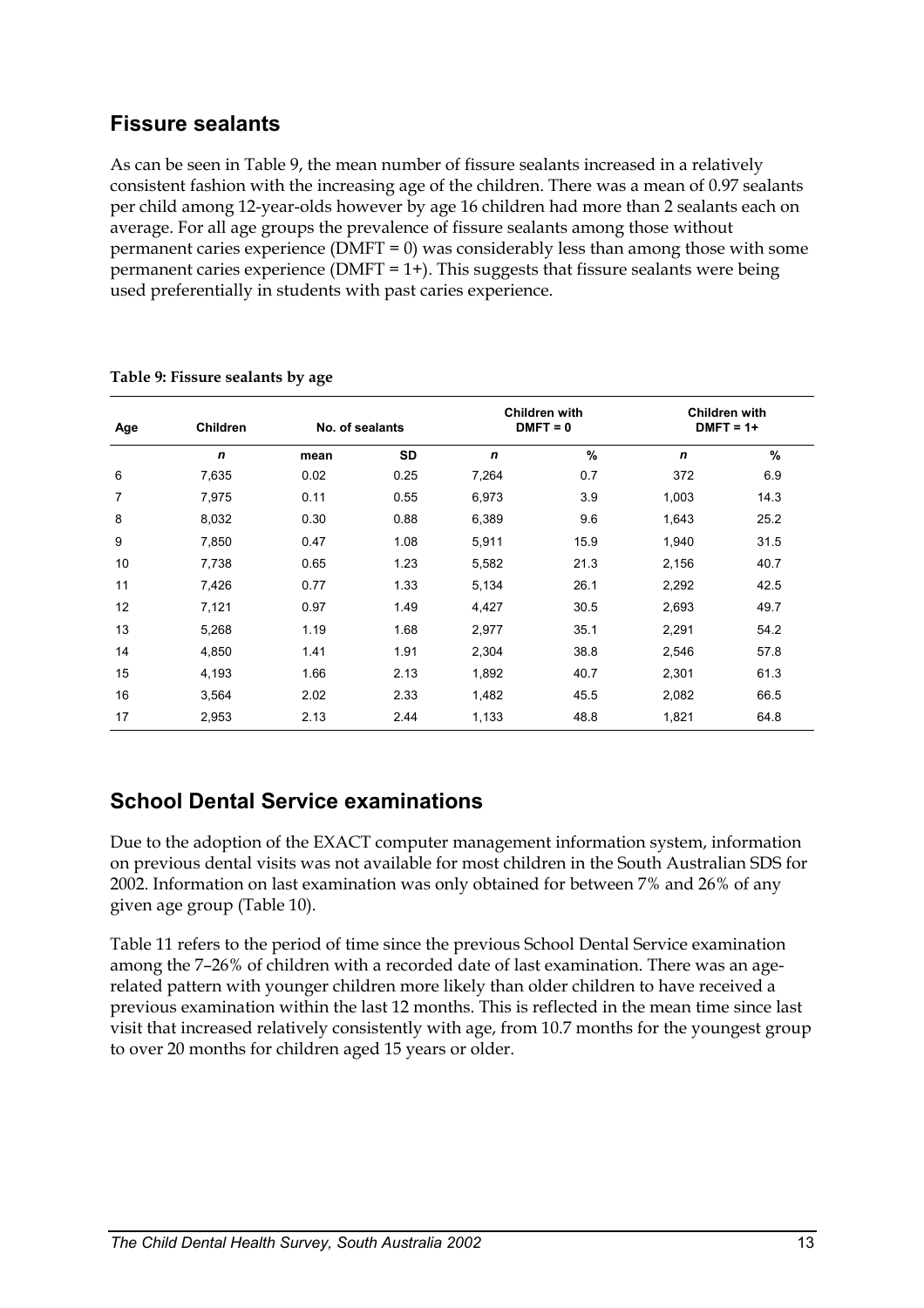## **Fissure sealants**

As can be seen in Table 9, the mean number of fissure sealants increased in a relatively consistent fashion with the increasing age of the children. There was a mean of 0.97 sealants per child among 12-year-olds however by age 16 children had more than 2 sealants each on average. For all age groups the prevalence of fissure sealants among those without permanent caries experience (DMFT = 0) was considerably less than among those with some permanent caries experience ( $\text{DMFT} = 1+$ ). This suggests that fissure sealants were being used preferentially in students with past caries experience.

| Age | <b>Children</b>  | No. of sealants |           | Children with<br>$DMFT = 0$ |      |             | Children with<br>$DMFT = 1+$ |
|-----|------------------|-----------------|-----------|-----------------------------|------|-------------|------------------------------|
|     | $\boldsymbol{n}$ | mean            | <b>SD</b> | $\mathbf n$                 | %    | $\mathbf n$ | %                            |
| 6   | 7,635            | 0.02            | 0.25      | 7,264                       | 0.7  | 372         | 6.9                          |
| 7   | 7,975            | 0.11            | 0.55      | 6,973                       | 3.9  | 1,003       | 14.3                         |
| 8   | 8,032            | 0.30            | 0.88      | 6,389                       | 9.6  | 1,643       | 25.2                         |
| 9   | 7,850            | 0.47            | 1.08      | 5,911                       | 15.9 | 1,940       | 31.5                         |
| 10  | 7,738            | 0.65            | 1.23      | 5,582                       | 21.3 | 2,156       | 40.7                         |
| 11  | 7,426            | 0.77            | 1.33      | 5,134                       | 26.1 | 2,292       | 42.5                         |
| 12  | 7,121            | 0.97            | 1.49      | 4,427                       | 30.5 | 2,693       | 49.7                         |
| 13  | 5,268            | 1.19            | 1.68      | 2,977                       | 35.1 | 2,291       | 54.2                         |
| 14  | 4,850            | 1.41            | 1.91      | 2,304                       | 38.8 | 2,546       | 57.8                         |
| 15  | 4,193            | 1.66            | 2.13      | 1,892                       | 40.7 | 2,301       | 61.3                         |
| 16  | 3,564            | 2.02            | 2.33      | 1,482                       | 45.5 | 2,082       | 66.5                         |
| 17  | 2,953            | 2.13            | 2.44      | 1,133                       | 48.8 | 1,821       | 64.8                         |

#### **Table 9: Fissure sealants by age**

## **School Dental Service examinations**

Due to the adoption of the EXACT computer management information system, information on previous dental visits was not available for most children in the South Australian SDS for 2002. Information on last examination was only obtained for between 7% and 26% of any given age group (Table 10).

Table 11 refers to the period of time since the previous School Dental Service examination among the 7–26% of children with a recorded date of last examination. There was an agerelated pattern with younger children more likely than older children to have received a previous examination within the last 12 months. This is reflected in the mean time since last visit that increased relatively consistently with age, from 10.7 months for the youngest group to over 20 months for children aged 15 years or older.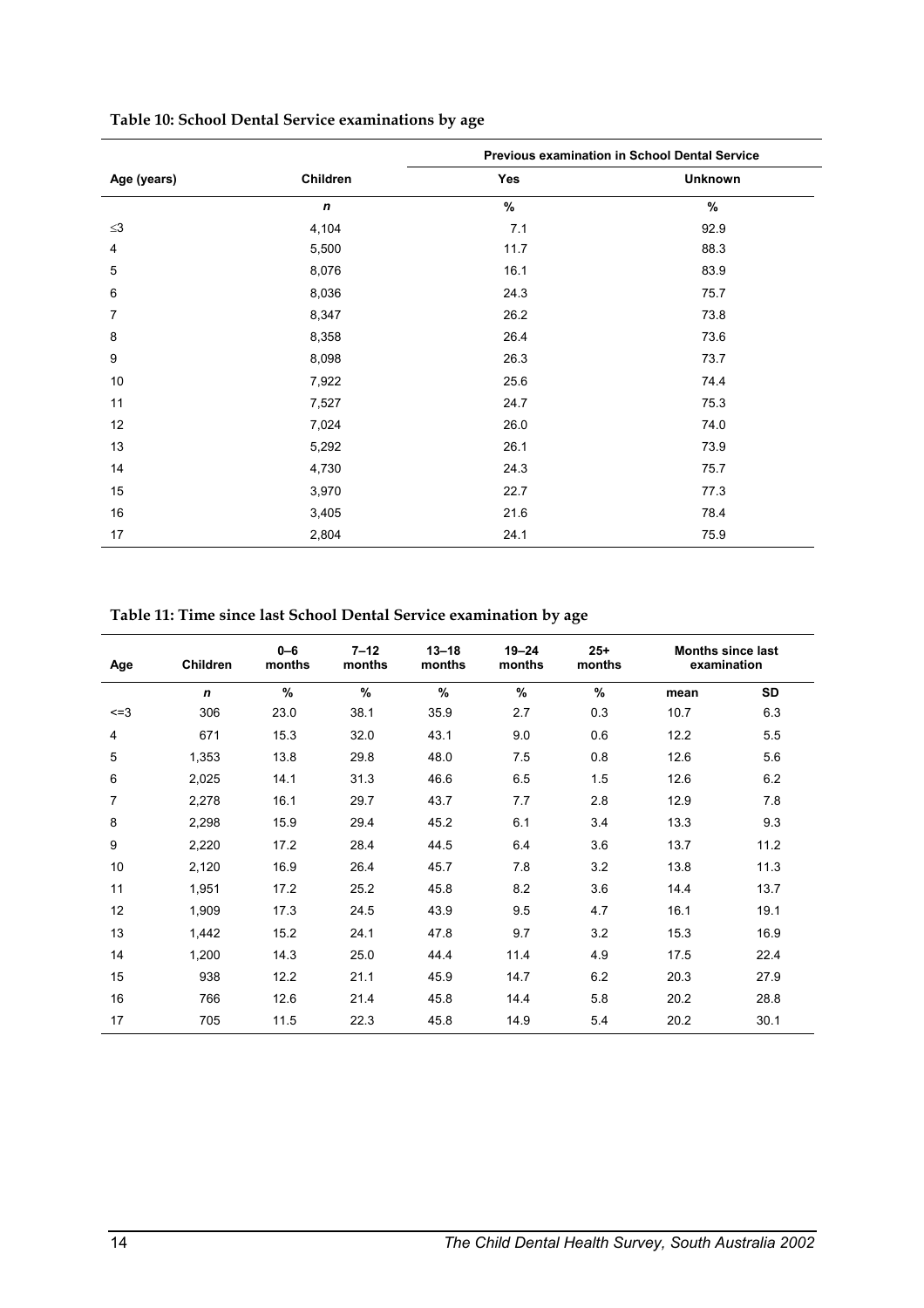|             |                  | Previous examination in School Dental Service |                |  |  |  |
|-------------|------------------|-----------------------------------------------|----------------|--|--|--|
| Age (years) | Children         | Yes                                           | <b>Unknown</b> |  |  |  |
|             | $\boldsymbol{n}$ | $\%$                                          | $\%$           |  |  |  |
| $\leq$ 3    | 4,104            | 7.1                                           | 92.9           |  |  |  |
| 4           | 5,500            | 11.7                                          | 88.3           |  |  |  |
| 5           | 8,076            | 16.1                                          | 83.9           |  |  |  |
| 6           | 8,036            | 24.3                                          | 75.7           |  |  |  |
| 7           | 8,347            | 26.2                                          | 73.8           |  |  |  |
| 8           | 8,358            | 26.4                                          | 73.6           |  |  |  |
| 9           | 8,098            | 26.3                                          | 73.7           |  |  |  |
| 10          | 7,922            | 25.6                                          | 74.4           |  |  |  |
| 11          | 7,527            | 24.7                                          | 75.3           |  |  |  |
| 12          | 7,024            | 26.0                                          | 74.0           |  |  |  |
| 13          | 5,292            | 26.1                                          | 73.9           |  |  |  |
| 14          | 4,730            | 24.3                                          | 75.7           |  |  |  |
| 15          | 3,970            | 22.7                                          | 77.3           |  |  |  |
| 16          | 3,405            | 21.6                                          | 78.4           |  |  |  |
| 17          | 2,804            | 24.1                                          | 75.9           |  |  |  |

#### **Table 10: School Dental Service examinations by age**

**Table 11: Time since last School Dental Service examination by age** 

| Age       | <b>Children</b> | $0 - 6$<br>months | $7 - 12$<br>months | $13 - 18$<br>months | $19 - 24$<br>months | $25 +$<br>months |      | <b>Months since last</b><br>examination |
|-----------|-----------------|-------------------|--------------------|---------------------|---------------------|------------------|------|-----------------------------------------|
|           | $\mathbf n$     | $\frac{0}{0}$     | $\frac{9}{6}$      | $\frac{9}{6}$       | $\frac{9}{6}$       | $\%$             | mean | <b>SD</b>                               |
| $\leq$ =3 | 306             | 23.0              | 38.1               | 35.9                | 2.7                 | 0.3              | 10.7 | 6.3                                     |
| 4         | 671             | 15.3              | 32.0               | 43.1                | 9.0                 | 0.6              | 12.2 | 5.5                                     |
| 5         | 1,353           | 13.8              | 29.8               | 48.0                | 7.5                 | 0.8              | 12.6 | 5.6                                     |
| 6         | 2,025           | 14.1              | 31.3               | 46.6                | 6.5                 | 1.5              | 12.6 | 6.2                                     |
| 7         | 2,278           | 16.1              | 29.7               | 43.7                | 7.7                 | 2.8              | 12.9 | 7.8                                     |
| 8         | 2,298           | 15.9              | 29.4               | 45.2                | 6.1                 | 3.4              | 13.3 | 9.3                                     |
| 9         | 2,220           | 17.2              | 28.4               | 44.5                | 6.4                 | 3.6              | 13.7 | 11.2                                    |
| 10        | 2,120           | 16.9              | 26.4               | 45.7                | 7.8                 | 3.2              | 13.8 | 11.3                                    |
| 11        | 1,951           | 17.2              | 25.2               | 45.8                | 8.2                 | 3.6              | 14.4 | 13.7                                    |
| 12        | 1,909           | 17.3              | 24.5               | 43.9                | 9.5                 | 4.7              | 16.1 | 19.1                                    |
| 13        | 1,442           | 15.2              | 24.1               | 47.8                | 9.7                 | 3.2              | 15.3 | 16.9                                    |
| 14        | 1,200           | 14.3              | 25.0               | 44.4                | 11.4                | 4.9              | 17.5 | 22.4                                    |
| 15        | 938             | 12.2              | 21.1               | 45.9                | 14.7                | 6.2              | 20.3 | 27.9                                    |
| 16        | 766             | 12.6              | 21.4               | 45.8                | 14.4                | 5.8              | 20.2 | 28.8                                    |
| 17        | 705             | 11.5              | 22.3               | 45.8                | 14.9                | 5.4              | 20.2 | 30.1                                    |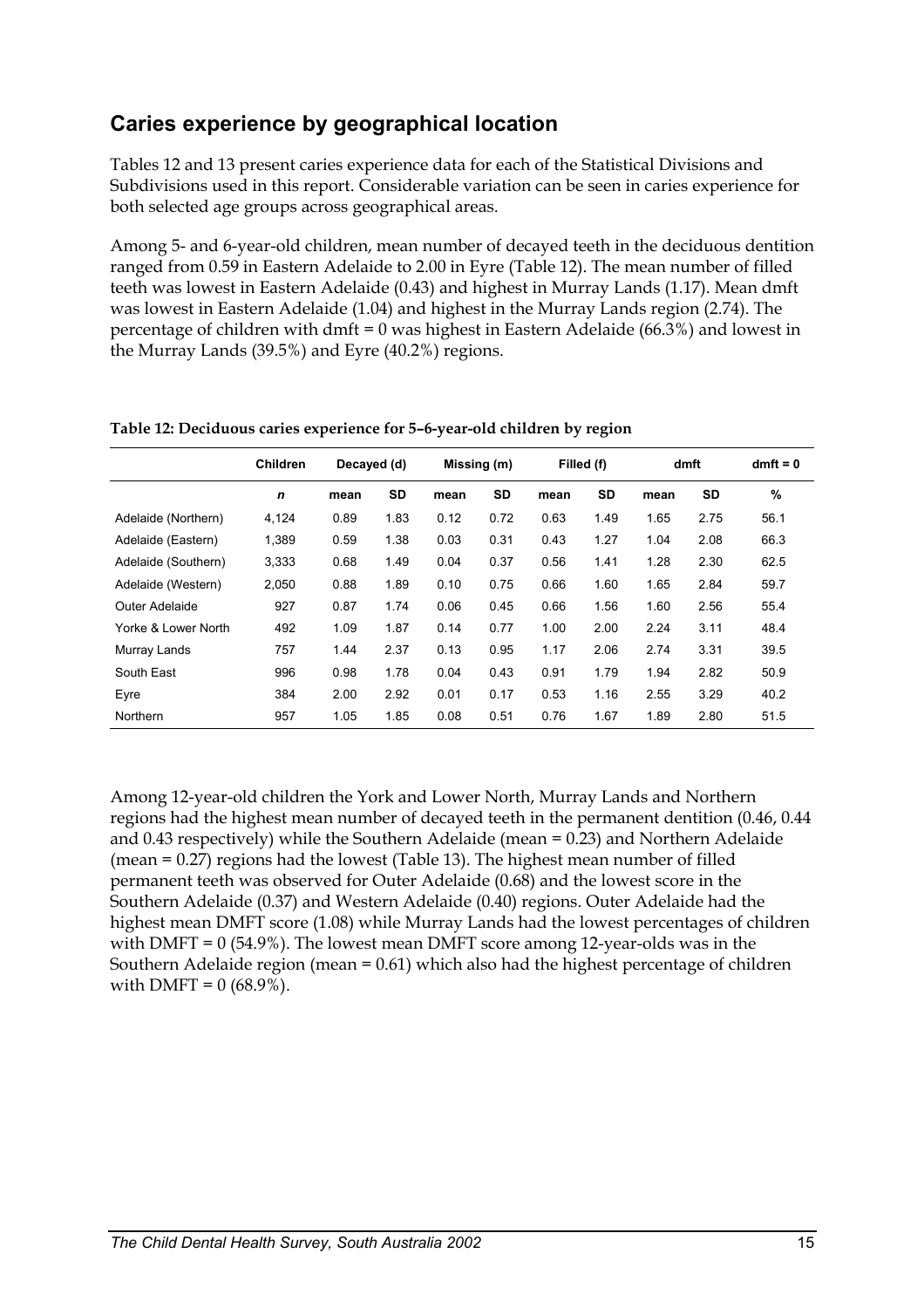## **Caries experience by geographical location**

Tables 12 and 13 present caries experience data for each of the Statistical Divisions and Subdivisions used in this report. Considerable variation can be seen in caries experience for both selected age groups across geographical areas.

Among 5- and 6-year-old children, mean number of decayed teeth in the deciduous dentition ranged from 0.59 in Eastern Adelaide to 2.00 in Eyre (Table 12). The mean number of filled teeth was lowest in Eastern Adelaide (0.43) and highest in Murray Lands (1.17). Mean dmft was lowest in Eastern Adelaide (1.04) and highest in the Murray Lands region (2.74). The percentage of children with dmft = 0 was highest in Eastern Adelaide (66.3%) and lowest in the Murray Lands (39.5%) and Eyre (40.2%) regions.

|                     | <b>Children</b> | Decayed (d) |           |      | Missing (m) |      | Filled (f) |      | dmft      | $dmft = 0$ |
|---------------------|-----------------|-------------|-----------|------|-------------|------|------------|------|-----------|------------|
|                     | $\mathbf n$     | mean        | <b>SD</b> | mean | <b>SD</b>   | mean | SD         | mean | <b>SD</b> | $\%$       |
| Adelaide (Northern) | 4,124           | 0.89        | 1.83      | 0.12 | 0.72        | 0.63 | 1.49       | 1.65 | 2.75      | 56.1       |
| Adelaide (Eastern)  | 1,389           | 0.59        | 1.38      | 0.03 | 0.31        | 0.43 | 1.27       | 1.04 | 2.08      | 66.3       |
| Adelaide (Southern) | 3,333           | 0.68        | 1.49      | 0.04 | 0.37        | 0.56 | 1.41       | 1.28 | 2.30      | 62.5       |
| Adelaide (Western)  | 2,050           | 0.88        | 1.89      | 0.10 | 0.75        | 0.66 | 1.60       | 1.65 | 2.84      | 59.7       |
| Outer Adelaide      | 927             | 0.87        | 1.74      | 0.06 | 0.45        | 0.66 | 1.56       | 1.60 | 2.56      | 55.4       |
| Yorke & Lower North | 492             | 1.09        | 1.87      | 0.14 | 0.77        | 1.00 | 2.00       | 2.24 | 3.11      | 48.4       |
| Murray Lands        | 757             | 1.44        | 2.37      | 0.13 | 0.95        | 1.17 | 2.06       | 2.74 | 3.31      | 39.5       |
| South East          | 996             | 0.98        | 1.78      | 0.04 | 0.43        | 0.91 | 1.79       | 1.94 | 2.82      | 50.9       |
| Eyre                | 384             | 2.00        | 2.92      | 0.01 | 0.17        | 0.53 | 1.16       | 2.55 | 3.29      | 40.2       |
| Northern            | 957             | 1.05        | 1.85      | 0.08 | 0.51        | 0.76 | 1.67       | 1.89 | 2.80      | 51.5       |

**Table 12: Deciduous caries experience for 5–6-year-old children by region** 

Among 12-year-old children the York and Lower North, Murray Lands and Northern regions had the highest mean number of decayed teeth in the permanent dentition (0.46, 0.44 and 0.43 respectively) while the Southern Adelaide (mean = 0.23) and Northern Adelaide (mean = 0.27) regions had the lowest (Table 13). The highest mean number of filled permanent teeth was observed for Outer Adelaide (0.68) and the lowest score in the Southern Adelaide (0.37) and Western Adelaide (0.40) regions. Outer Adelaide had the highest mean DMFT score (1.08) while Murray Lands had the lowest percentages of children with DMFT =  $0$  (54.9%). The lowest mean DMFT score among 12-year-olds was in the Southern Adelaide region (mean = 0.61) which also had the highest percentage of children with DMFT =  $0(68.9\%)$ .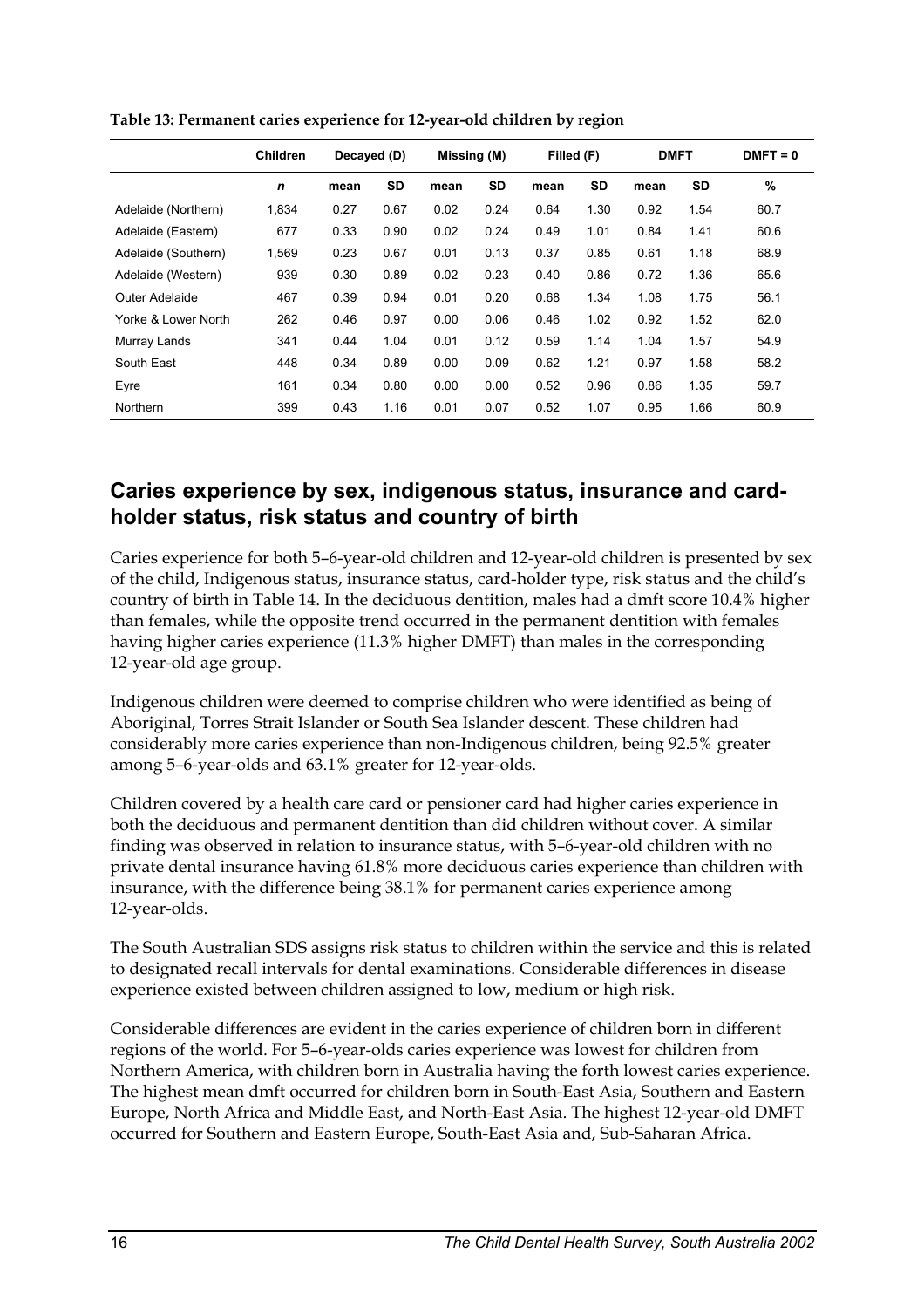|                     | <b>Children</b>  | Decayed (D) |           | Missing (M) |           | Filled (F) |           | <b>DMFT</b> |           | $DMFT = 0$ |
|---------------------|------------------|-------------|-----------|-------------|-----------|------------|-----------|-------------|-----------|------------|
|                     | $\boldsymbol{n}$ | mean        | <b>SD</b> | mean        | <b>SD</b> | mean       | <b>SD</b> | mean        | <b>SD</b> | %          |
| Adelaide (Northern) | 1,834            | 0.27        | 0.67      | 0.02        | 0.24      | 0.64       | 1.30      | 0.92        | 1.54      | 60.7       |
| Adelaide (Eastern)  | 677              | 0.33        | 0.90      | 0.02        | 0.24      | 0.49       | 1.01      | 0.84        | 1.41      | 60.6       |
| Adelaide (Southern) | 1,569            | 0.23        | 0.67      | 0.01        | 0.13      | 0.37       | 0.85      | 0.61        | 1.18      | 68.9       |
| Adelaide (Western)  | 939              | 0.30        | 0.89      | 0.02        | 0.23      | 0.40       | 0.86      | 0.72        | 1.36      | 65.6       |
| Outer Adelaide      | 467              | 0.39        | 0.94      | 0.01        | 0.20      | 0.68       | 1.34      | 1.08        | 1.75      | 56.1       |
| Yorke & Lower North | 262              | 0.46        | 0.97      | 0.00        | 0.06      | 0.46       | 1.02      | 0.92        | 1.52      | 62.0       |
| Murray Lands        | 341              | 0.44        | 1.04      | 0.01        | 0.12      | 0.59       | 1.14      | 1.04        | 1.57      | 54.9       |
| South East          | 448              | 0.34        | 0.89      | 0.00        | 0.09      | 0.62       | 1.21      | 0.97        | 1.58      | 58.2       |
| Eyre                | 161              | 0.34        | 0.80      | 0.00        | 0.00      | 0.52       | 0.96      | 0.86        | 1.35      | 59.7       |
| Northern            | 399              | 0.43        | 1.16      | 0.01        | 0.07      | 0.52       | 1.07      | 0.95        | 1.66      | 60.9       |

**Table 13: Permanent caries experience for 12-year-old children by region** 

#### **Caries experience by sex, indigenous status, insurance and cardholder status, risk status and country of birth**

Caries experience for both 5–6-year-old children and 12-year-old children is presented by sex of the child, Indigenous status, insurance status, card-holder type, risk status and the child's country of birth in Table 14. In the deciduous dentition, males had a dmft score 10.4% higher than females, while the opposite trend occurred in the permanent dentition with females having higher caries experience (11.3% higher DMFT) than males in the corresponding 12-year-old age group.

Indigenous children were deemed to comprise children who were identified as being of Aboriginal, Torres Strait Islander or South Sea Islander descent. These children had considerably more caries experience than non-Indigenous children, being 92.5% greater among 5–6-year-olds and 63.1% greater for 12-year-olds.

Children covered by a health care card or pensioner card had higher caries experience in both the deciduous and permanent dentition than did children without cover. A similar finding was observed in relation to insurance status, with 5–6-year-old children with no private dental insurance having 61.8% more deciduous caries experience than children with insurance, with the difference being 38.1% for permanent caries experience among 12-year-olds.

The South Australian SDS assigns risk status to children within the service and this is related to designated recall intervals for dental examinations. Considerable differences in disease experience existed between children assigned to low, medium or high risk.

Considerable differences are evident in the caries experience of children born in different regions of the world. For 5–6-year-olds caries experience was lowest for children from Northern America, with children born in Australia having the forth lowest caries experience. The highest mean dmft occurred for children born in South-East Asia, Southern and Eastern Europe, North Africa and Middle East, and North-East Asia. The highest 12-year-old DMFT occurred for Southern and Eastern Europe, South-East Asia and, Sub-Saharan Africa.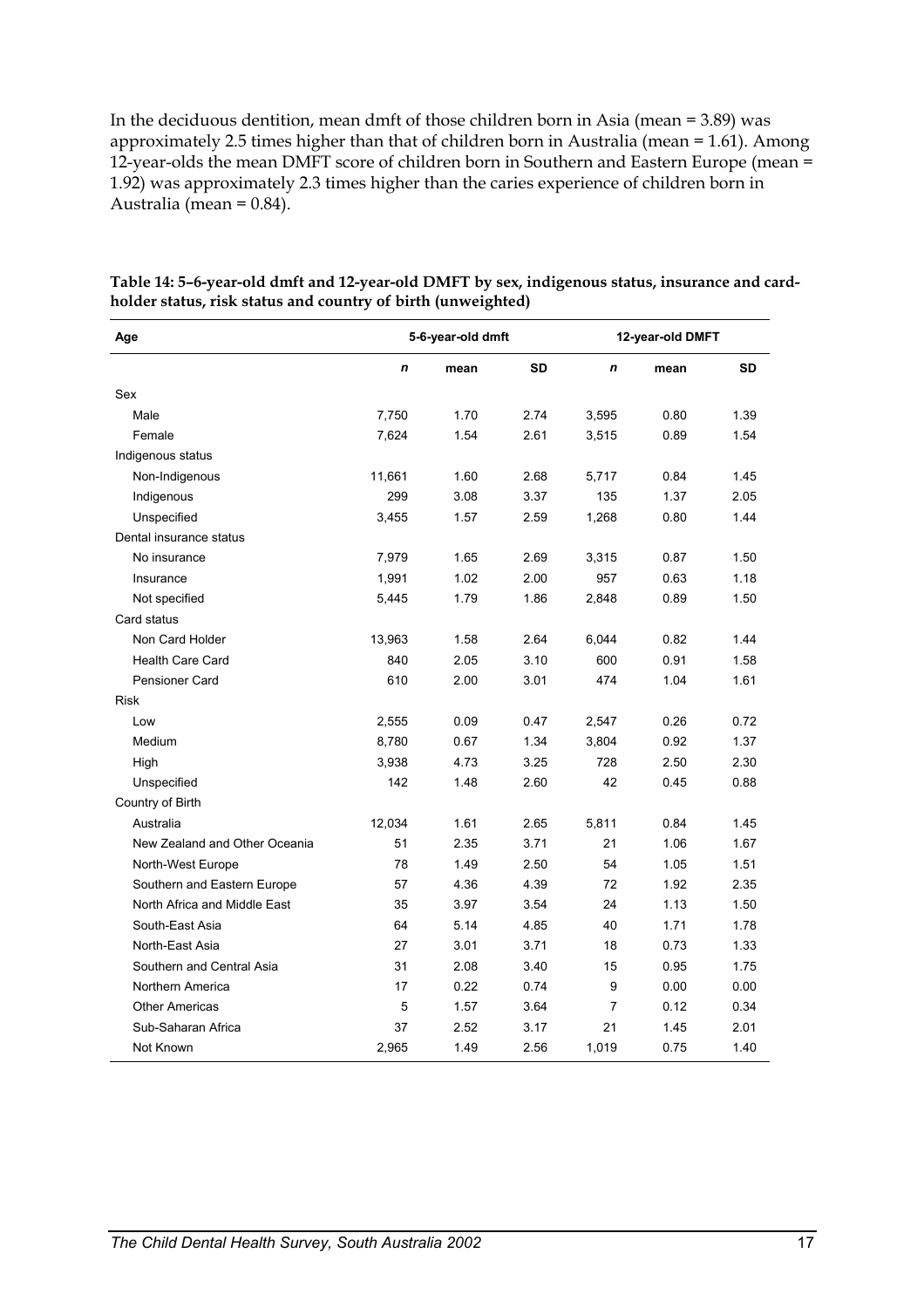In the deciduous dentition, mean dmft of those children born in Asia (mean = 3.89) was approximately 2.5 times higher than that of children born in Australia (mean = 1.61). Among 12-year-olds the mean DMFT score of children born in Southern and Eastern Europe (mean  $=$ 1.92) was approximately 2.3 times higher than the caries experience of children born in Australia (mean =  $0.84$ ).

| Age                           |             | 5-6-year-old dmft |           | 12-year-old DMFT |      |           |
|-------------------------------|-------------|-------------------|-----------|------------------|------|-----------|
|                               | $\mathbf n$ | mean              | <b>SD</b> | $\mathbf n$      | mean | <b>SD</b> |
| Sex                           |             |                   |           |                  |      |           |
| Male                          | 7,750       | 1.70              | 2.74      | 3,595            | 0.80 | 1.39      |
| Female                        | 7,624       | 1.54              | 2.61      | 3,515            | 0.89 | 1.54      |
| Indigenous status             |             |                   |           |                  |      |           |
| Non-Indigenous                | 11,661      | 1.60              | 2.68      | 5,717            | 0.84 | 1.45      |
| Indigenous                    | 299         | 3.08              | 3.37      | 135              | 1.37 | 2.05      |
| Unspecified                   | 3,455       | 1.57              | 2.59      | 1,268            | 0.80 | 1.44      |
| Dental insurance status       |             |                   |           |                  |      |           |
| No insurance                  | 7,979       | 1.65              | 2.69      | 3,315            | 0.87 | 1.50      |
| Insurance                     | 1,991       | 1.02              | 2.00      | 957              | 0.63 | 1.18      |
| Not specified                 | 5,445       | 1.79              | 1.86      | 2,848            | 0.89 | 1.50      |
| Card status                   |             |                   |           |                  |      |           |
| Non Card Holder               | 13,963      | 1.58              | 2.64      | 6,044            | 0.82 | 1.44      |
| Health Care Card              | 840         | 2.05              | 3.10      | 600              | 0.91 | 1.58      |
| Pensioner Card                | 610         | 2.00              | 3.01      | 474              | 1.04 | 1.61      |
| <b>Risk</b>                   |             |                   |           |                  |      |           |
| Low                           | 2,555       | 0.09              | 0.47      | 2,547            | 0.26 | 0.72      |
| Medium                        | 8,780       | 0.67              | 1.34      | 3,804            | 0.92 | 1.37      |
| High                          | 3,938       | 4.73              | 3.25      | 728              | 2.50 | 2.30      |
| Unspecified                   | 142         | 1.48              | 2.60      | 42               | 0.45 | 0.88      |
| Country of Birth              |             |                   |           |                  |      |           |
| Australia                     | 12,034      | 1.61              | 2.65      | 5,811            | 0.84 | 1.45      |
| New Zealand and Other Oceania | 51          | 2.35              | 3.71      | 21               | 1.06 | 1.67      |
| North-West Europe             | 78          | 1.49              | 2.50      | 54               | 1.05 | 1.51      |
| Southern and Eastern Europe   | 57          | 4.36              | 4.39      | 72               | 1.92 | 2.35      |
| North Africa and Middle East  | 35          | 3.97              | 3.54      | 24               | 1.13 | 1.50      |
| South-East Asia               | 64          | 5.14              | 4.85      | 40               | 1.71 | 1.78      |
| North-East Asia               | 27          | 3.01              | 3.71      | 18               | 0.73 | 1.33      |
| Southern and Central Asia     | 31          | 2.08              | 3.40      | 15               | 0.95 | 1.75      |
| Northern America              | 17          | 0.22              | 0.74      | 9                | 0.00 | 0.00      |
| <b>Other Americas</b>         | 5           | 1.57              | 3.64      | $\overline{7}$   | 0.12 | 0.34      |
| Sub-Saharan Africa            | 37          | 2.52              | 3.17      | 21               | 1.45 | 2.01      |
| Not Known                     | 2,965       | 1.49              | 2.56      | 1,019            | 0.75 | 1.40      |

**Table 14: 5–6-year-old dmft and 12-year-old DMFT by sex, indigenous status, insurance and cardholder status, risk status and country of birth (unweighted)**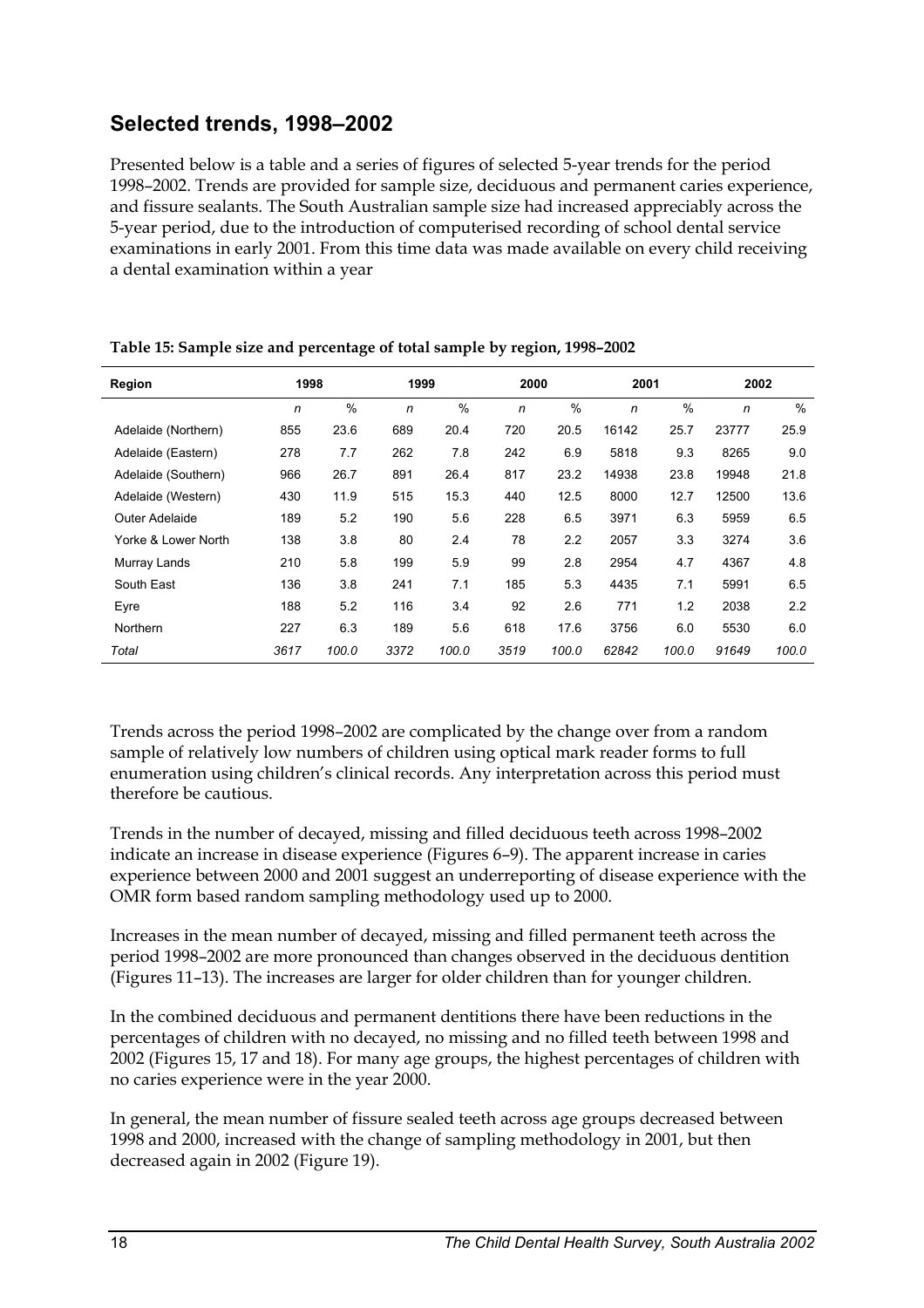## **Selected trends, 1998–2002**

Presented below is a table and a series of figures of selected 5-year trends for the period 1998–2002. Trends are provided for sample size, deciduous and permanent caries experience, and fissure sealants. The South Australian sample size had increased appreciably across the 5-year period, due to the introduction of computerised recording of school dental service examinations in early 2001. From this time data was made available on every child receiving a dental examination within a year

| Region              | 1998 |       |      | 1999  |      | 2000  |       | 2001          |       | 2002  |  |
|---------------------|------|-------|------|-------|------|-------|-------|---------------|-------|-------|--|
|                     | n    | $\%$  | n    | %     | n    | $\%$  | n     | $\frac{0}{0}$ | n     | $\%$  |  |
| Adelaide (Northern) | 855  | 23.6  | 689  | 20.4  | 720  | 20.5  | 16142 | 25.7          | 23777 | 25.9  |  |
| Adelaide (Eastern)  | 278  | 7.7   | 262  | 7.8   | 242  | 6.9   | 5818  | 9.3           | 8265  | 9.0   |  |
| Adelaide (Southern) | 966  | 26.7  | 891  | 26.4  | 817  | 23.2  | 14938 | 23.8          | 19948 | 21.8  |  |
| Adelaide (Western)  | 430  | 11.9  | 515  | 15.3  | 440  | 12.5  | 8000  | 12.7          | 12500 | 13.6  |  |
| Outer Adelaide      | 189  | 5.2   | 190  | 5.6   | 228  | 6.5   | 3971  | 6.3           | 5959  | 6.5   |  |
| Yorke & Lower North | 138  | 3.8   | 80   | 2.4   | 78   | 2.2   | 2057  | 3.3           | 3274  | 3.6   |  |
| Murray Lands        | 210  | 5.8   | 199  | 5.9   | 99   | 2.8   | 2954  | 4.7           | 4367  | 4.8   |  |
| South East          | 136  | 3.8   | 241  | 7.1   | 185  | 5.3   | 4435  | 7.1           | 5991  | 6.5   |  |
| Eyre                | 188  | 5.2   | 116  | 3.4   | 92   | 2.6   | 771   | 1.2           | 2038  | 2.2   |  |
| Northern            | 227  | 6.3   | 189  | 5.6   | 618  | 17.6  | 3756  | 6.0           | 5530  | 6.0   |  |
| Total               | 3617 | 100.0 | 3372 | 100.0 | 3519 | 100.0 | 62842 | 100.0         | 91649 | 100.0 |  |

**Table 15: Sample size and percentage of total sample by region, 1998–2002** 

Trends across the period 1998–2002 are complicated by the change over from a random sample of relatively low numbers of children using optical mark reader forms to full enumeration using children's clinical records. Any interpretation across this period must therefore be cautious.

Trends in the number of decayed, missing and filled deciduous teeth across 1998–2002 indicate an increase in disease experience (Figures 6–9). The apparent increase in caries experience between 2000 and 2001 suggest an underreporting of disease experience with the OMR form based random sampling methodology used up to 2000.

Increases in the mean number of decayed, missing and filled permanent teeth across the period 1998–2002 are more pronounced than changes observed in the deciduous dentition (Figures 11–13). The increases are larger for older children than for younger children.

In the combined deciduous and permanent dentitions there have been reductions in the percentages of children with no decayed, no missing and no filled teeth between 1998 and 2002 (Figures 15, 17 and 18). For many age groups, the highest percentages of children with no caries experience were in the year 2000.

In general, the mean number of fissure sealed teeth across age groups decreased between 1998 and 2000, increased with the change of sampling methodology in 2001, but then decreased again in 2002 (Figure 19).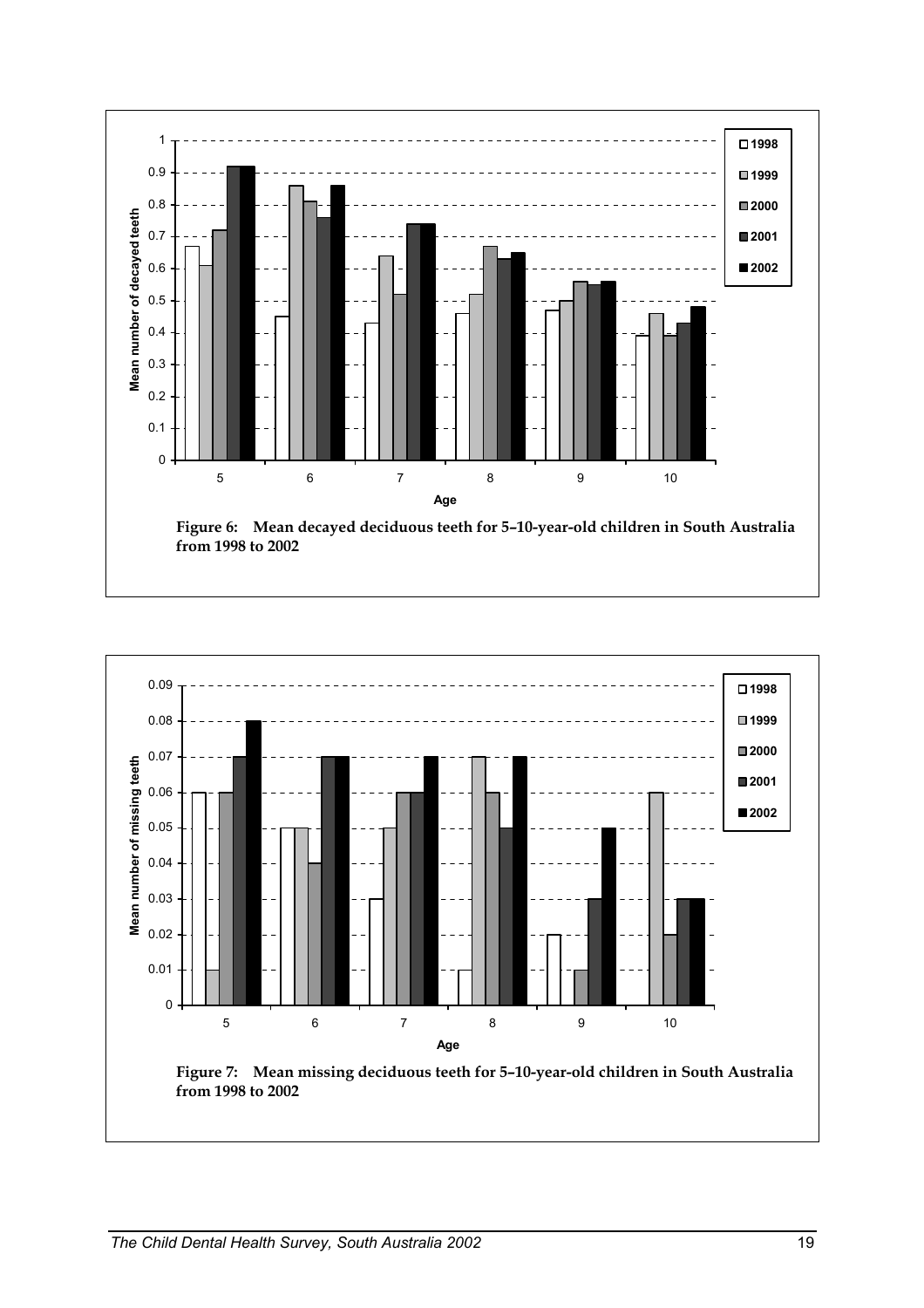

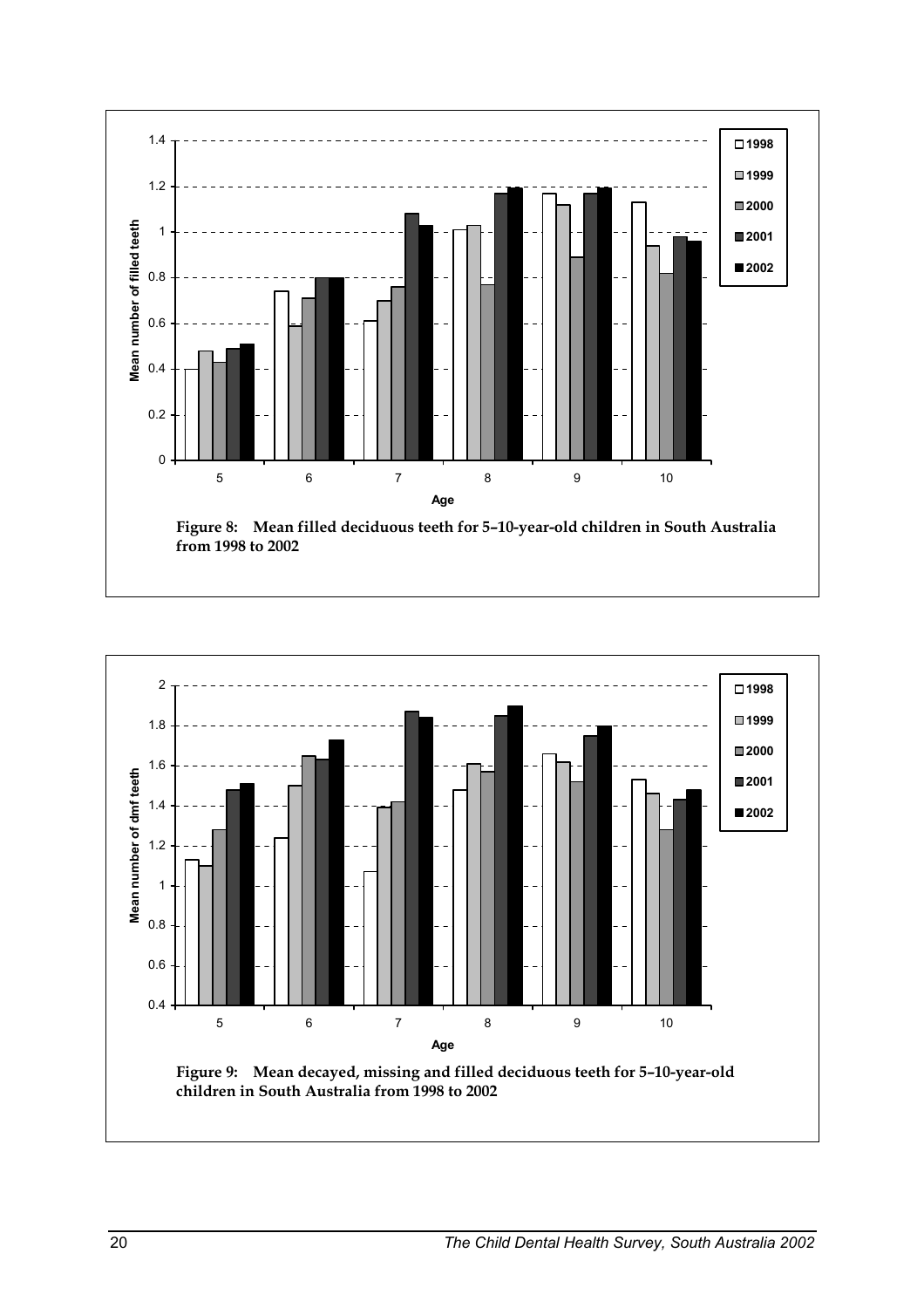

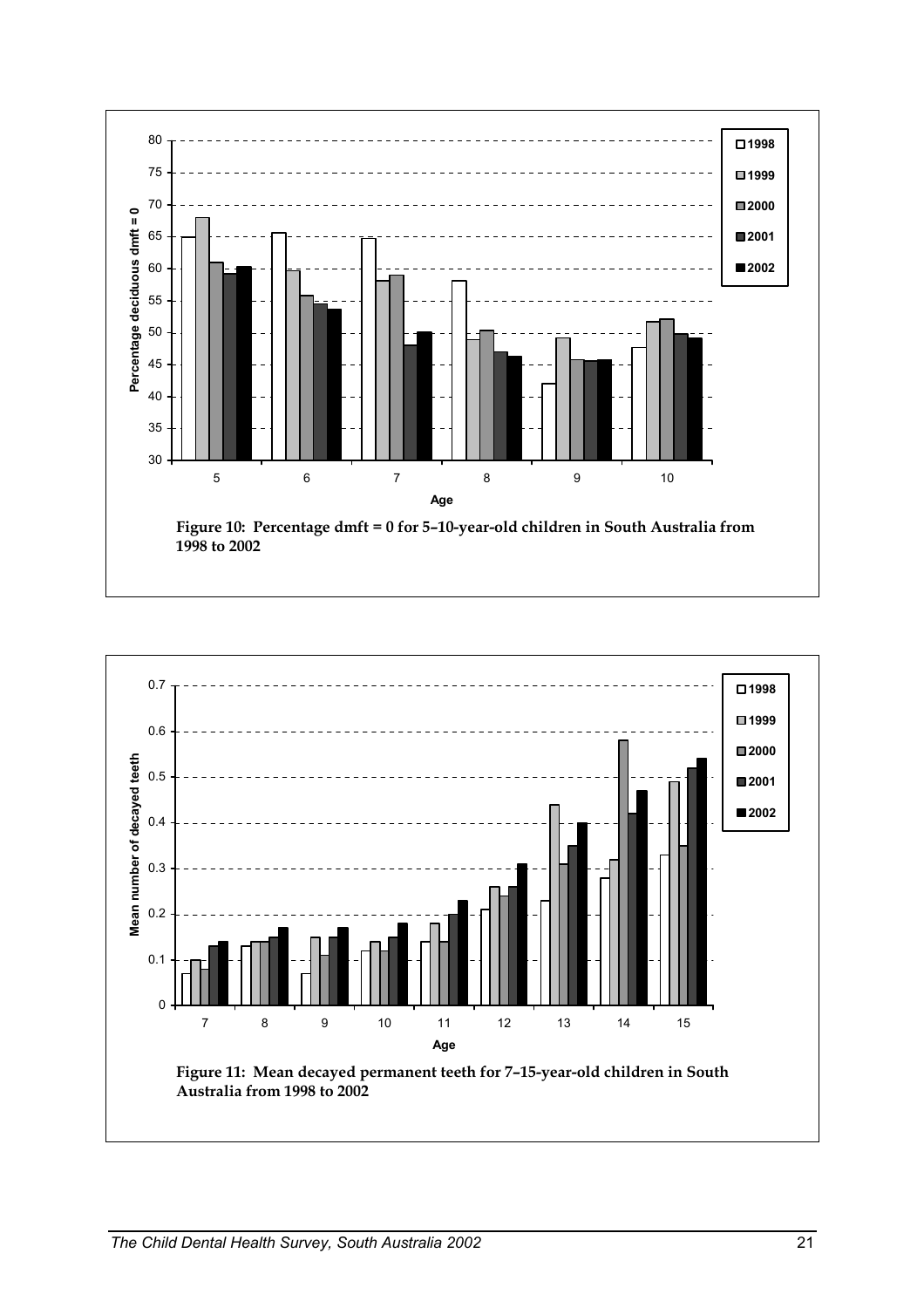

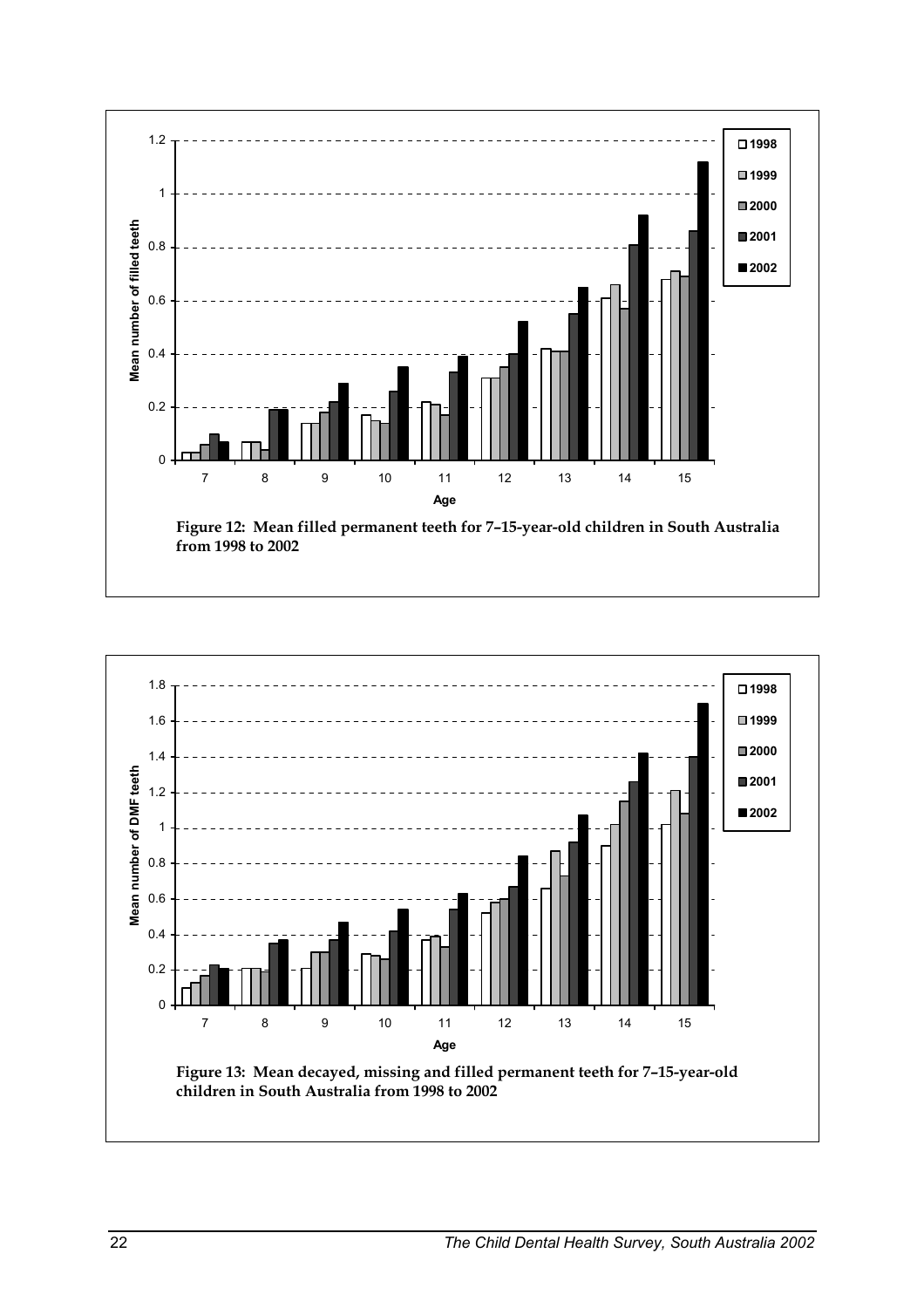

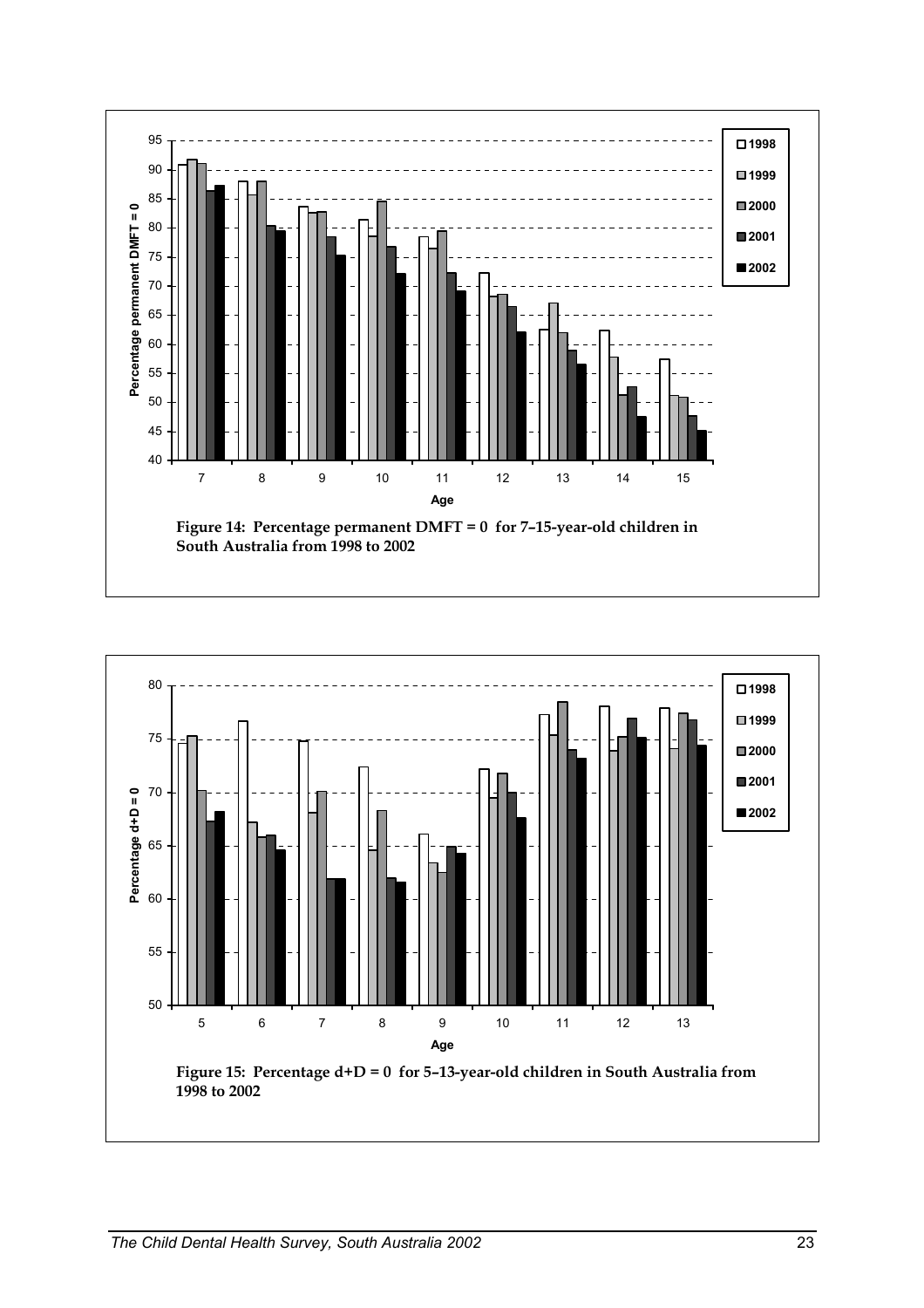

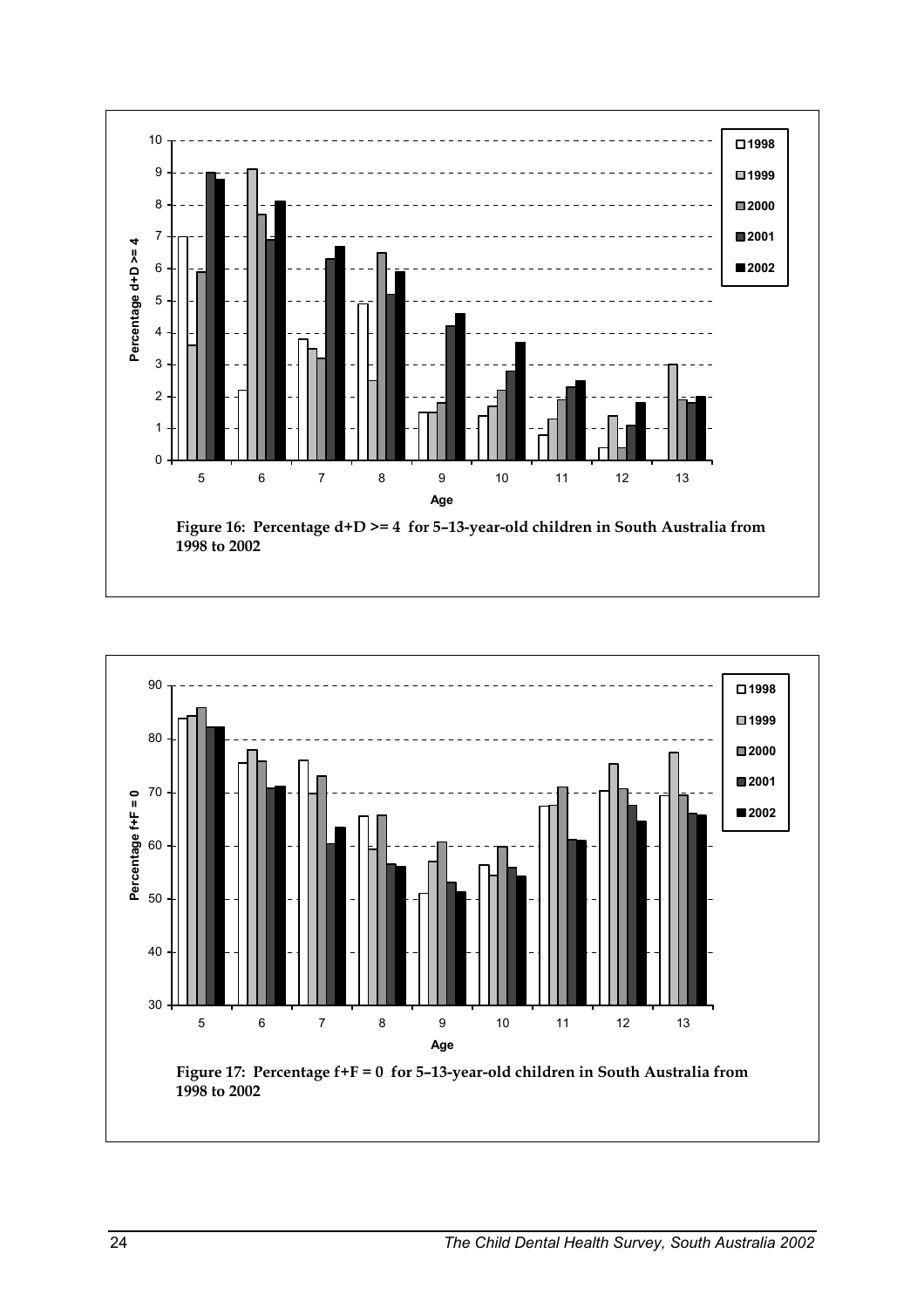